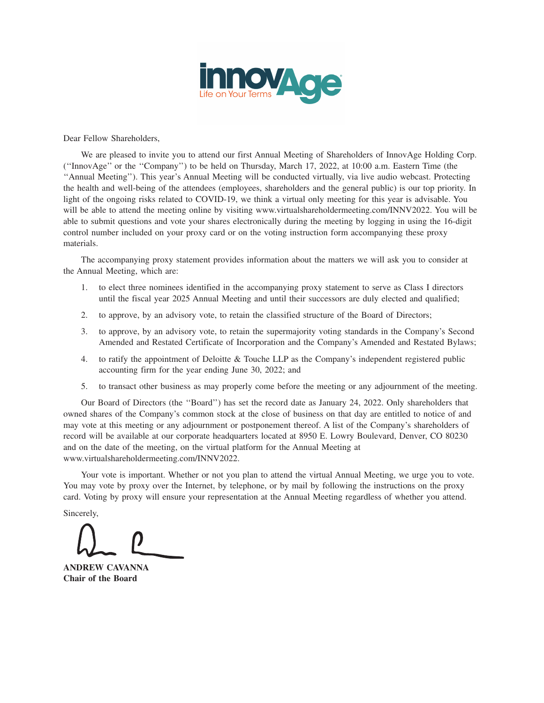

Dear Fellow Shareholders,

We are pleased to invite you to attend our first Annual Meeting of Shareholders of InnovAge Holding Corp. (''InnovAge'' or the ''Company'') to be held on Thursday, March 17, 2022, at 10:00 a.m. Eastern Time (the ''Annual Meeting''). This year's Annual Meeting will be conducted virtually, via live audio webcast. Protecting the health and well-being of the attendees (employees, shareholders and the general public) is our top priority. In light of the ongoing risks related to COVID-19, we think a virtual only meeting for this year is advisable. You will be able to attend the meeting online by visiting www.virtualshareholdermeeting.com/INNV2022. You will be able to submit questions and vote your shares electronically during the meeting by logging in using the 16-digit control number included on your proxy card or on the voting instruction form accompanying these proxy materials.

The accompanying proxy statement provides information about the matters we will ask you to consider at the Annual Meeting, which are:

- 1. to elect three nominees identified in the accompanying proxy statement to serve as Class I directors until the fiscal year 2025 Annual Meeting and until their successors are duly elected and qualified;
- 2. to approve, by an advisory vote, to retain the classified structure of the Board of Directors;
- 3. to approve, by an advisory vote, to retain the supermajority voting standards in the Company's Second Amended and Restated Certificate of Incorporation and the Company's Amended and Restated Bylaws;
- 4. to ratify the appointment of Deloitte & Touche LLP as the Company's independent registered public accounting firm for the year ending June 30, 2022; and
- 5. to transact other business as may properly come before the meeting or any adjournment of the meeting.

Our Board of Directors (the ''Board'') has set the record date as January 24, 2022. Only shareholders that owned shares of the Company's common stock at the close of business on that day are entitled to notice of and may vote at this meeting or any adjournment or postponement thereof. A list of the Company's shareholders of record will be available at our corporate headquarters located at 8950 E. Lowry Boulevard, Denver, CO 80230 and on the date of the meeting, on the virtual platform for the Annual Meeting at www.virtualshareholdermeeting.com/INNV2022.

Your vote is important. Whether or not you plan to attend the virtual Annual Meeting, we urge you to vote. You may vote by proxy over the Internet, by telephone, or by mail by following the instructions on the proxy card. Voting by proxy will ensure your representation at the Annual Meeting regardless of whether you attend.

Sincerely,

**ANDREW CAVANNA Chair of the Board**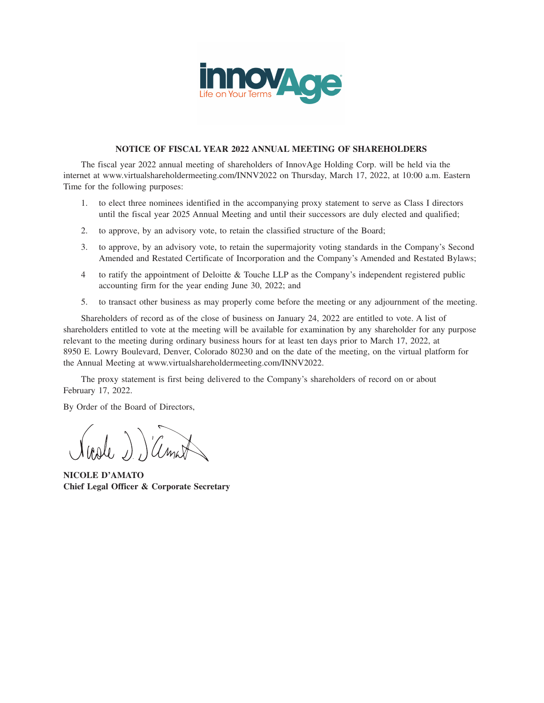

## **NOTICE OF FISCAL YEAR 2022 ANNUAL MEETING OF SHAREHOLDERS**

The fiscal year 2022 annual meeting of shareholders of InnovAge Holding Corp. will be held via the internet at www.virtualshareholdermeeting.com/INNV2022 on Thursday, March 17, 2022, at 10:00 a.m. Eastern Time for the following purposes:

- 1. to elect three nominees identified in the accompanying proxy statement to serve as Class I directors until the fiscal year 2025 Annual Meeting and until their successors are duly elected and qualified;
- 2. to approve, by an advisory vote, to retain the classified structure of the Board;
- 3. to approve, by an advisory vote, to retain the supermajority voting standards in the Company's Second Amended and Restated Certificate of Incorporation and the Company's Amended and Restated Bylaws;
- 4 to ratify the appointment of Deloitte & Touche LLP as the Company's independent registered public accounting firm for the year ending June 30, 2022; and
- 5. to transact other business as may properly come before the meeting or any adjournment of the meeting.

Shareholders of record as of the close of business on January 24, 2022 are entitled to vote. A list of shareholders entitled to vote at the meeting will be available for examination by any shareholder for any purpose relevant to the meeting during ordinary business hours for at least ten days prior to March 17, 2022, at 8950 E. Lowry Boulevard, Denver, Colorado 80230 and on the date of the meeting, on the virtual platform for the Annual Meeting at www.virtualshareholdermeeting.com/INNV2022.

The proxy statement is first being delivered to the Company's shareholders of record on or about February 17, 2022.

By Order of the Board of Directors,

note )) Cinat

**NICOLE D'AMATO Chief Legal Officer & Corporate Secretary**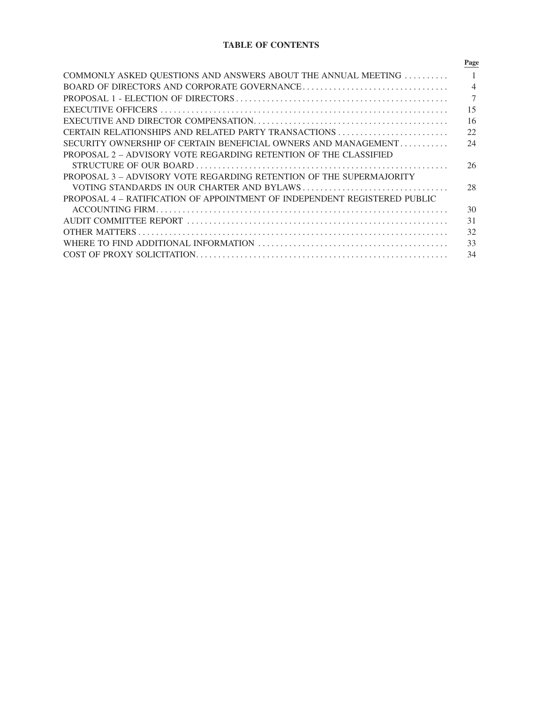# **TABLE OF CONTENTS**

|                                                                           | Page           |
|---------------------------------------------------------------------------|----------------|
| COMMONLY ASKED QUESTIONS AND ANSWERS ABOUT THE ANNUAL MEETING             |                |
|                                                                           | $\overline{4}$ |
|                                                                           | 7              |
|                                                                           | 15             |
|                                                                           | 16             |
|                                                                           | 22             |
| SECURITY OWNERSHIP OF CERTAIN BENEFICIAL OWNERS AND MANAGEMENT            | 24             |
| PROPOSAL 2 – ADVISORY VOTE REGARDING RETENTION OF THE CLASSIFIED          |                |
|                                                                           | 26             |
| PROPOSAL 3 - ADVISORY VOTE REGARDING RETENTION OF THE SUPERMAJORITY       |                |
|                                                                           | 28             |
| PROPOSAL 4 – RATIFICATION OF APPOINTMENT OF INDEPENDENT REGISTERED PUBLIC |                |
|                                                                           | 30             |
|                                                                           | 31             |
|                                                                           | 32             |
|                                                                           | 33             |
|                                                                           | 34             |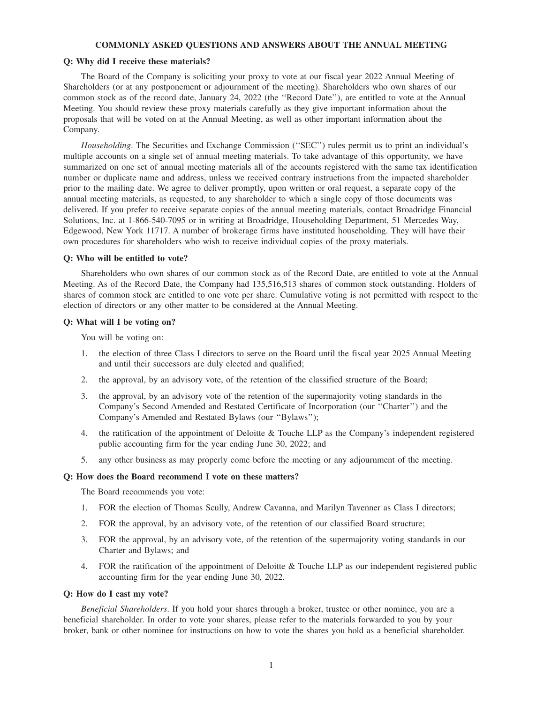#### **COMMONLY ASKED QUESTIONS AND ANSWERS ABOUT THE ANNUAL MEETING**

#### **Q: Why did I receive these materials?**

The Board of the Company is soliciting your proxy to vote at our fiscal year 2022 Annual Meeting of Shareholders (or at any postponement or adjournment of the meeting). Shareholders who own shares of our common stock as of the record date, January 24, 2022 (the ''Record Date''), are entitled to vote at the Annual Meeting. You should review these proxy materials carefully as they give important information about the proposals that will be voted on at the Annual Meeting, as well as other important information about the Company.

*Householding*. The Securities and Exchange Commission (''SEC'') rules permit us to print an individual's multiple accounts on a single set of annual meeting materials. To take advantage of this opportunity, we have summarized on one set of annual meeting materials all of the accounts registered with the same tax identification number or duplicate name and address, unless we received contrary instructions from the impacted shareholder prior to the mailing date. We agree to deliver promptly, upon written or oral request, a separate copy of the annual meeting materials, as requested, to any shareholder to which a single copy of those documents was delivered. If you prefer to receive separate copies of the annual meeting materials, contact Broadridge Financial Solutions, Inc. at 1-866-540-7095 or in writing at Broadridge, Householding Department, 51 Mercedes Way, Edgewood, New York 11717. A number of brokerage firms have instituted householding. They will have their own procedures for shareholders who wish to receive individual copies of the proxy materials.

## **Q: Who will be entitled to vote?**

Shareholders who own shares of our common stock as of the Record Date, are entitled to vote at the Annual Meeting. As of the Record Date, the Company had 135,516,513 shares of common stock outstanding. Holders of shares of common stock are entitled to one vote per share. Cumulative voting is not permitted with respect to the election of directors or any other matter to be considered at the Annual Meeting.

#### **Q: What will I be voting on?**

You will be voting on:

- 1. the election of three Class I directors to serve on the Board until the fiscal year 2025 Annual Meeting and until their successors are duly elected and qualified;
- 2. the approval, by an advisory vote, of the retention of the classified structure of the Board;
- 3. the approval, by an advisory vote of the retention of the supermajority voting standards in the Company's Second Amended and Restated Certificate of Incorporation (our ''Charter'') and the Company's Amended and Restated Bylaws (our ''Bylaws'');
- 4. the ratification of the appointment of Deloitte & Touche LLP as the Company's independent registered public accounting firm for the year ending June 30, 2022; and
- 5. any other business as may properly come before the meeting or any adjournment of the meeting.

#### **Q: How does the Board recommend I vote on these matters?**

The Board recommends you vote:

- 1. FOR the election of Thomas Scully, Andrew Cavanna, and Marilyn Tavenner as Class I directors;
- 2. FOR the approval, by an advisory vote, of the retention of our classified Board structure;
- 3. FOR the approval, by an advisory vote, of the retention of the supermajority voting standards in our Charter and Bylaws; and
- 4. FOR the ratification of the appointment of Deloitte & Touche LLP as our independent registered public accounting firm for the year ending June 30, 2022.

#### **Q: How do I cast my vote?**

*Beneficial Shareholders*. If you hold your shares through a broker, trustee or other nominee, you are a beneficial shareholder. In order to vote your shares, please refer to the materials forwarded to you by your broker, bank or other nominee for instructions on how to vote the shares you hold as a beneficial shareholder.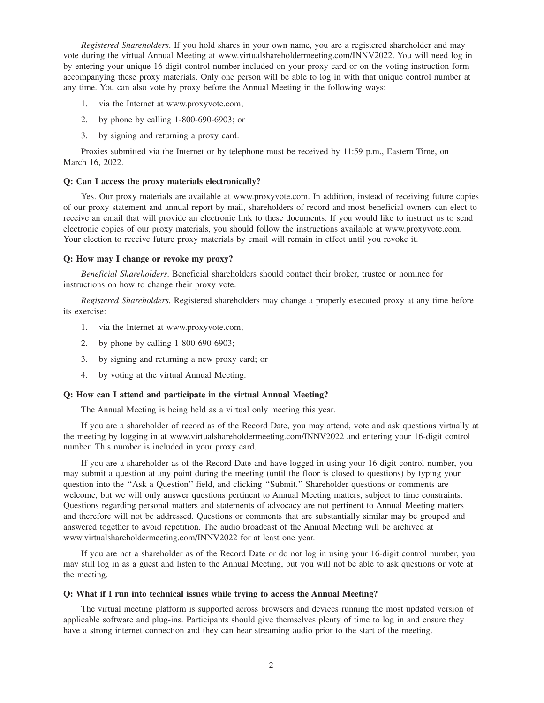*Registered Shareholders*. If you hold shares in your own name, you are a registered shareholder and may vote during the virtual Annual Meeting at www.virtualshareholdermeeting.com/INNV2022. You will need log in by entering your unique 16-digit control number included on your proxy card or on the voting instruction form accompanying these proxy materials. Only one person will be able to log in with that unique control number at any time. You can also vote by proxy before the Annual Meeting in the following ways:

- 1. via the Internet at www.proxyvote.com;
- 2. by phone by calling 1-800-690-6903; or
- 3. by signing and returning a proxy card.

Proxies submitted via the Internet or by telephone must be received by 11:59 p.m., Eastern Time, on March 16, 2022.

#### **Q: Can I access the proxy materials electronically?**

Yes. Our proxy materials are available at www.proxyvote.com. In addition, instead of receiving future copies of our proxy statement and annual report by mail, shareholders of record and most beneficial owners can elect to receive an email that will provide an electronic link to these documents. If you would like to instruct us to send electronic copies of our proxy materials, you should follow the instructions available at www.proxyvote.com. Your election to receive future proxy materials by email will remain in effect until you revoke it.

#### **Q: How may I change or revoke my proxy?**

*Beneficial Shareholders*. Beneficial shareholders should contact their broker, trustee or nominee for instructions on how to change their proxy vote.

*Registered Shareholders.* Registered shareholders may change a properly executed proxy at any time before its exercise:

- 1. via the Internet at www.proxyvote.com;
- 2. by phone by calling 1-800-690-6903;
- 3. by signing and returning a new proxy card; or
- 4. by voting at the virtual Annual Meeting.

## **Q: How can I attend and participate in the virtual Annual Meeting?**

The Annual Meeting is being held as a virtual only meeting this year.

If you are a shareholder of record as of the Record Date, you may attend, vote and ask questions virtually at the meeting by logging in at www.virtualshareholdermeeting.com/INNV2022 and entering your 16-digit control number. This number is included in your proxy card.

If you are a shareholder as of the Record Date and have logged in using your 16-digit control number, you may submit a question at any point during the meeting (until the floor is closed to questions) by typing your question into the ''Ask a Question'' field, and clicking ''Submit.'' Shareholder questions or comments are welcome, but we will only answer questions pertinent to Annual Meeting matters, subject to time constraints. Questions regarding personal matters and statements of advocacy are not pertinent to Annual Meeting matters and therefore will not be addressed. Questions or comments that are substantially similar may be grouped and answered together to avoid repetition. The audio broadcast of the Annual Meeting will be archived at www.virtualshareholdermeeting.com/INNV2022 for at least one year.

If you are not a shareholder as of the Record Date or do not log in using your 16-digit control number, you may still log in as a guest and listen to the Annual Meeting, but you will not be able to ask questions or vote at the meeting.

#### **Q: What if I run into technical issues while trying to access the Annual Meeting?**

The virtual meeting platform is supported across browsers and devices running the most updated version of applicable software and plug-ins. Participants should give themselves plenty of time to log in and ensure they have a strong internet connection and they can hear streaming audio prior to the start of the meeting.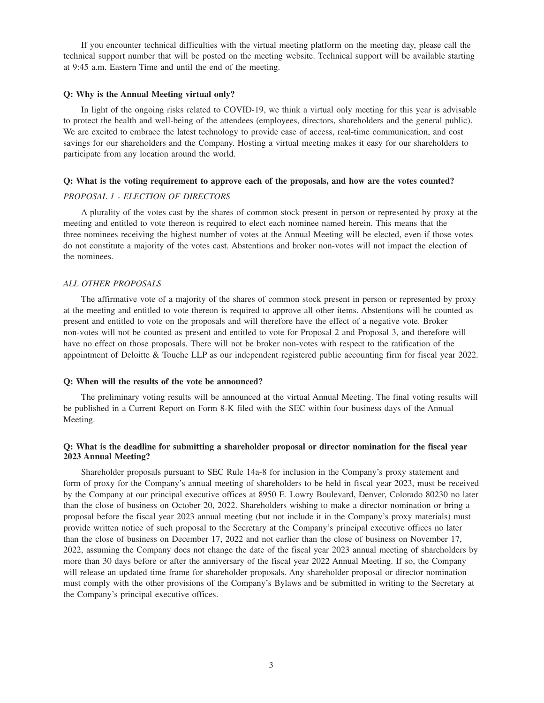If you encounter technical difficulties with the virtual meeting platform on the meeting day, please call the technical support number that will be posted on the meeting website. Technical support will be available starting at 9:45 a.m. Eastern Time and until the end of the meeting.

#### **Q: Why is the Annual Meeting virtual only?**

In light of the ongoing risks related to COVID-19, we think a virtual only meeting for this year is advisable to protect the health and well-being of the attendees (employees, directors, shareholders and the general public). We are excited to embrace the latest technology to provide ease of access, real-time communication, and cost savings for our shareholders and the Company. Hosting a virtual meeting makes it easy for our shareholders to participate from any location around the world.

#### **Q: What is the voting requirement to approve each of the proposals, and how are the votes counted?**

#### *PROPOSAL 1 - ELECTION OF DIRECTORS*

A plurality of the votes cast by the shares of common stock present in person or represented by proxy at the meeting and entitled to vote thereon is required to elect each nominee named herein. This means that the three nominees receiving the highest number of votes at the Annual Meeting will be elected, even if those votes do not constitute a majority of the votes cast. Abstentions and broker non-votes will not impact the election of the nominees.

## *ALL OTHER PROPOSALS*

The affirmative vote of a majority of the shares of common stock present in person or represented by proxy at the meeting and entitled to vote thereon is required to approve all other items. Abstentions will be counted as present and entitled to vote on the proposals and will therefore have the effect of a negative vote. Broker non-votes will not be counted as present and entitled to vote for Proposal 2 and Proposal 3, and therefore will have no effect on those proposals. There will not be broker non-votes with respect to the ratification of the appointment of Deloitte & Touche LLP as our independent registered public accounting firm for fiscal year 2022.

#### **Q: When will the results of the vote be announced?**

The preliminary voting results will be announced at the virtual Annual Meeting. The final voting results will be published in a Current Report on Form 8-K filed with the SEC within four business days of the Annual Meeting.

## **Q: What is the deadline for submitting a shareholder proposal or director nomination for the fiscal year 2023 Annual Meeting?**

Shareholder proposals pursuant to SEC Rule 14a-8 for inclusion in the Company's proxy statement and form of proxy for the Company's annual meeting of shareholders to be held in fiscal year 2023, must be received by the Company at our principal executive offices at 8950 E. Lowry Boulevard, Denver, Colorado 80230 no later than the close of business on October 20, 2022. Shareholders wishing to make a director nomination or bring a proposal before the fiscal year 2023 annual meeting (but not include it in the Company's proxy materials) must provide written notice of such proposal to the Secretary at the Company's principal executive offices no later than the close of business on December 17, 2022 and not earlier than the close of business on November 17, 2022, assuming the Company does not change the date of the fiscal year 2023 annual meeting of shareholders by more than 30 days before or after the anniversary of the fiscal year 2022 Annual Meeting. If so, the Company will release an updated time frame for shareholder proposals. Any shareholder proposal or director nomination must comply with the other provisions of the Company's Bylaws and be submitted in writing to the Secretary at the Company's principal executive offices.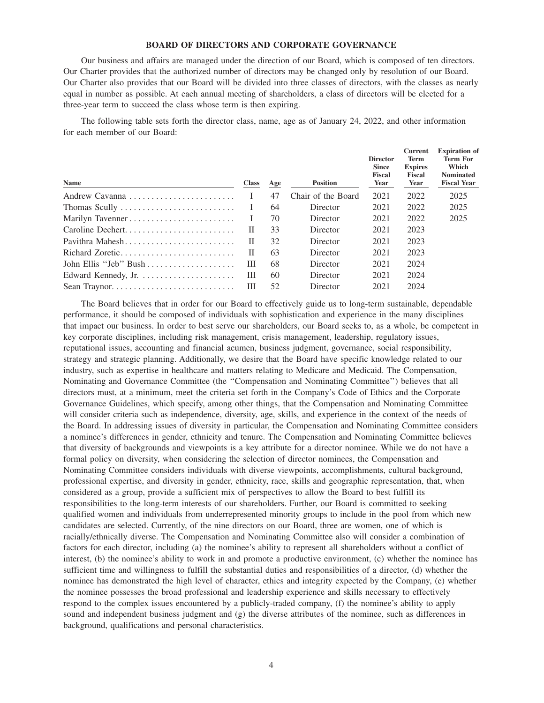## **BOARD OF DIRECTORS AND CORPORATE GOVERNANCE**

Our business and affairs are managed under the direction of our Board, which is composed of ten directors. Our Charter provides that the authorized number of directors may be changed only by resolution of our Board. Our Charter also provides that our Board will be divided into three classes of directors, with the classes as nearly equal in number as possible. At each annual meeting of shareholders, a class of directors will be elected for a three-year term to succeed the class whose term is then expiring.

The following table sets forth the director class, name, age as of January 24, 2022, and other information for each member of our Board:

| <b>Class</b> | Age | <b>Position</b>    | <b>Director</b><br><b>Since</b><br><b>Fiscal</b><br>Year | <b>Current</b><br>Term<br><b>Expires</b><br>Fiscal<br>Year | <b>Expiration</b> of<br>Term For<br>Which<br><b>Nominated</b><br><b>Fiscal Year</b> |
|--------------|-----|--------------------|----------------------------------------------------------|------------------------------------------------------------|-------------------------------------------------------------------------------------|
|              | 47  | Chair of the Board | 2021                                                     | 2022                                                       | 2025                                                                                |
| $\mathbf{I}$ | 64  | Director           | 2021                                                     | 2022                                                       | 2025                                                                                |
| $\perp$      | 70  | Director           | 2021                                                     | 2022                                                       | 2025                                                                                |
| П            | 33  | Director           | 2021                                                     | 2023                                                       |                                                                                     |
| П            | 32  | Director           | 2021                                                     | 2023                                                       |                                                                                     |
| П            | 63  | Director           | 2021                                                     | 2023                                                       |                                                                                     |
| Ш            | 68  | Director           | 2021                                                     | 2024                                                       |                                                                                     |
| Ш            | 60  | Director           | 2021                                                     | 2024                                                       |                                                                                     |
| Ш            | 52  | Director           | 2021                                                     | 2024                                                       |                                                                                     |
|              |     |                    |                                                          |                                                            |                                                                                     |

The Board believes that in order for our Board to effectively guide us to long-term sustainable, dependable performance, it should be composed of individuals with sophistication and experience in the many disciplines that impact our business. In order to best serve our shareholders, our Board seeks to, as a whole, be competent in key corporate disciplines, including risk management, crisis management, leadership, regulatory issues, reputational issues, accounting and financial acumen, business judgment, governance, social responsibility, strategy and strategic planning. Additionally, we desire that the Board have specific knowledge related to our industry, such as expertise in healthcare and matters relating to Medicare and Medicaid. The Compensation, Nominating and Governance Committee (the ''Compensation and Nominating Committee'') believes that all directors must, at a minimum, meet the criteria set forth in the Company's Code of Ethics and the Corporate Governance Guidelines, which specify, among other things, that the Compensation and Nominating Committee will consider criteria such as independence, diversity, age, skills, and experience in the context of the needs of the Board. In addressing issues of diversity in particular, the Compensation and Nominating Committee considers a nominee's differences in gender, ethnicity and tenure. The Compensation and Nominating Committee believes that diversity of backgrounds and viewpoints is a key attribute for a director nominee. While we do not have a formal policy on diversity, when considering the selection of director nominees, the Compensation and Nominating Committee considers individuals with diverse viewpoints, accomplishments, cultural background, professional expertise, and diversity in gender, ethnicity, race, skills and geographic representation, that, when considered as a group, provide a sufficient mix of perspectives to allow the Board to best fulfill its responsibilities to the long-term interests of our shareholders. Further, our Board is committed to seeking qualified women and individuals from underrepresented minority groups to include in the pool from which new candidates are selected. Currently, of the nine directors on our Board, three are women, one of which is racially/ethnically diverse. The Compensation and Nominating Committee also will consider a combination of factors for each director, including (a) the nominee's ability to represent all shareholders without a conflict of interest, (b) the nominee's ability to work in and promote a productive environment, (c) whether the nominee has sufficient time and willingness to fulfill the substantial duties and responsibilities of a director, (d) whether the nominee has demonstrated the high level of character, ethics and integrity expected by the Company, (e) whether the nominee possesses the broad professional and leadership experience and skills necessary to effectively respond to the complex issues encountered by a publicly-traded company, (f) the nominee's ability to apply sound and independent business judgment and (g) the diverse attributes of the nominee, such as differences in background, qualifications and personal characteristics.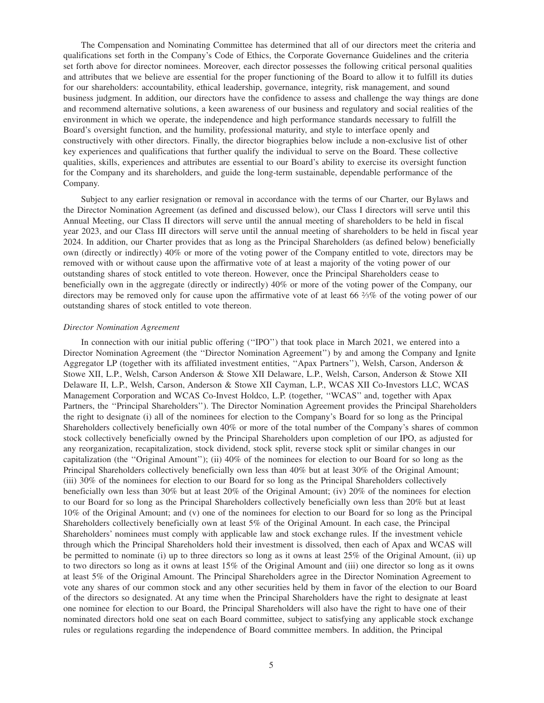The Compensation and Nominating Committee has determined that all of our directors meet the criteria and qualifications set forth in the Company's Code of Ethics, the Corporate Governance Guidelines and the criteria set forth above for director nominees. Moreover, each director possesses the following critical personal qualities and attributes that we believe are essential for the proper functioning of the Board to allow it to fulfill its duties for our shareholders: accountability, ethical leadership, governance, integrity, risk management, and sound business judgment. In addition, our directors have the confidence to assess and challenge the way things are done and recommend alternative solutions, a keen awareness of our business and regulatory and social realities of the environment in which we operate, the independence and high performance standards necessary to fulfill the Board's oversight function, and the humility, professional maturity, and style to interface openly and constructively with other directors. Finally, the director biographies below include a non-exclusive list of other key experiences and qualifications that further qualify the individual to serve on the Board. These collective qualities, skills, experiences and attributes are essential to our Board's ability to exercise its oversight function for the Company and its shareholders, and guide the long-term sustainable, dependable performance of the Company.

Subject to any earlier resignation or removal in accordance with the terms of our Charter, our Bylaws and the Director Nomination Agreement (as defined and discussed below), our Class I directors will serve until this Annual Meeting, our Class II directors will serve until the annual meeting of shareholders to be held in fiscal year 2023, and our Class III directors will serve until the annual meeting of shareholders to be held in fiscal year 2024. In addition, our Charter provides that as long as the Principal Shareholders (as defined below) beneficially own (directly or indirectly) 40% or more of the voting power of the Company entitled to vote, directors may be removed with or without cause upon the affirmative vote of at least a majority of the voting power of our outstanding shares of stock entitled to vote thereon. However, once the Principal Shareholders cease to beneficially own in the aggregate (directly or indirectly) 40% or more of the voting power of the Company, our directors may be removed only for cause upon the affirmative vote of at least 66 <sup>2</sup> ⁄3% of the voting power of our outstanding shares of stock entitled to vote thereon.

#### *Director Nomination Agreement*

In connection with our initial public offering ("IPO") that took place in March 2021, we entered into a Director Nomination Agreement (the ''Director Nomination Agreement'') by and among the Company and Ignite Aggregator LP (together with its affiliated investment entities, ''Apax Partners''), Welsh, Carson, Anderson & Stowe XII, L.P., Welsh, Carson Anderson & Stowe XII Delaware, L.P., Welsh, Carson, Anderson & Stowe XII Delaware II, L.P., Welsh, Carson, Anderson & Stowe XII Cayman, L.P., WCAS XII Co-Investors LLC, WCAS Management Corporation and WCAS Co-Invest Holdco, L.P. (together, ''WCAS'' and, together with Apax Partners, the ''Principal Shareholders''). The Director Nomination Agreement provides the Principal Shareholders the right to designate (i) all of the nominees for election to the Company's Board for so long as the Principal Shareholders collectively beneficially own 40% or more of the total number of the Company's shares of common stock collectively beneficially owned by the Principal Shareholders upon completion of our IPO, as adjusted for any reorganization, recapitalization, stock dividend, stock split, reverse stock split or similar changes in our capitalization (the ''Original Amount''); (ii) 40% of the nominees for election to our Board for so long as the Principal Shareholders collectively beneficially own less than 40% but at least 30% of the Original Amount; (iii) 30% of the nominees for election to our Board for so long as the Principal Shareholders collectively beneficially own less than 30% but at least 20% of the Original Amount; (iv) 20% of the nominees for election to our Board for so long as the Principal Shareholders collectively beneficially own less than 20% but at least 10% of the Original Amount; and (v) one of the nominees for election to our Board for so long as the Principal Shareholders collectively beneficially own at least 5% of the Original Amount. In each case, the Principal Shareholders' nominees must comply with applicable law and stock exchange rules. If the investment vehicle through which the Principal Shareholders hold their investment is dissolved, then each of Apax and WCAS will be permitted to nominate (i) up to three directors so long as it owns at least 25% of the Original Amount, (ii) up to two directors so long as it owns at least 15% of the Original Amount and (iii) one director so long as it owns at least 5% of the Original Amount. The Principal Shareholders agree in the Director Nomination Agreement to vote any shares of our common stock and any other securities held by them in favor of the election to our Board of the directors so designated. At any time when the Principal Shareholders have the right to designate at least one nominee for election to our Board, the Principal Shareholders will also have the right to have one of their nominated directors hold one seat on each Board committee, subject to satisfying any applicable stock exchange rules or regulations regarding the independence of Board committee members. In addition, the Principal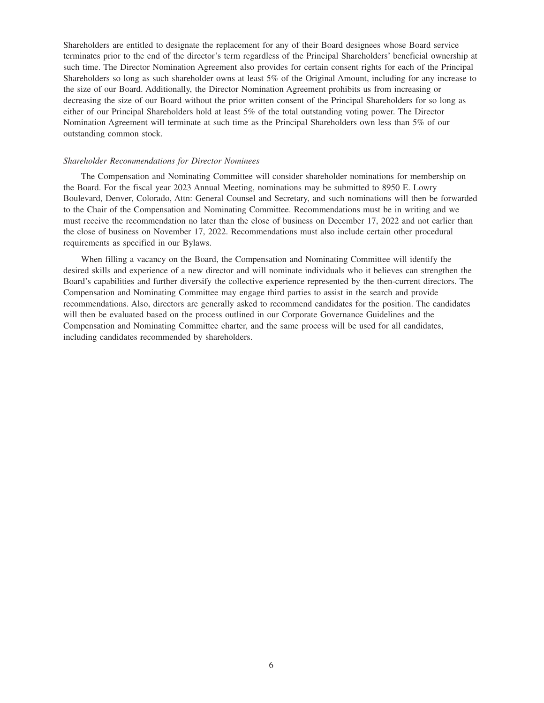Shareholders are entitled to designate the replacement for any of their Board designees whose Board service terminates prior to the end of the director's term regardless of the Principal Shareholders' beneficial ownership at such time. The Director Nomination Agreement also provides for certain consent rights for each of the Principal Shareholders so long as such shareholder owns at least 5% of the Original Amount, including for any increase to the size of our Board. Additionally, the Director Nomination Agreement prohibits us from increasing or decreasing the size of our Board without the prior written consent of the Principal Shareholders for so long as either of our Principal Shareholders hold at least 5% of the total outstanding voting power. The Director Nomination Agreement will terminate at such time as the Principal Shareholders own less than 5% of our outstanding common stock.

#### *Shareholder Recommendations for Director Nominees*

The Compensation and Nominating Committee will consider shareholder nominations for membership on the Board. For the fiscal year 2023 Annual Meeting, nominations may be submitted to 8950 E. Lowry Boulevard, Denver, Colorado, Attn: General Counsel and Secretary, and such nominations will then be forwarded to the Chair of the Compensation and Nominating Committee. Recommendations must be in writing and we must receive the recommendation no later than the close of business on December 17, 2022 and not earlier than the close of business on November 17, 2022. Recommendations must also include certain other procedural requirements as specified in our Bylaws.

When filling a vacancy on the Board, the Compensation and Nominating Committee will identify the desired skills and experience of a new director and will nominate individuals who it believes can strengthen the Board's capabilities and further diversify the collective experience represented by the then-current directors. The Compensation and Nominating Committee may engage third parties to assist in the search and provide recommendations. Also, directors are generally asked to recommend candidates for the position. The candidates will then be evaluated based on the process outlined in our Corporate Governance Guidelines and the Compensation and Nominating Committee charter, and the same process will be used for all candidates, including candidates recommended by shareholders.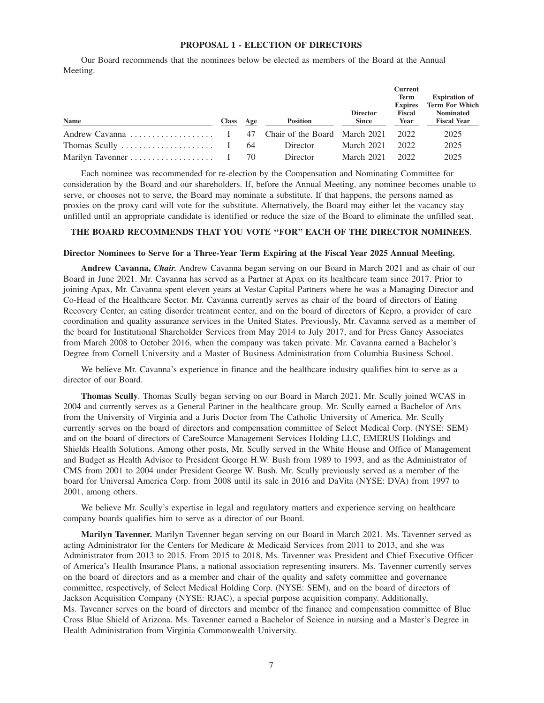## **PROPOSAL 1 - ELECTION OF DIRECTORS**

Our Board recommends that the nominees below be elected as members of the Board at the Annual Meeting.

|                                                                            |           |                 |                 | <b>Current</b>           |                                           |
|----------------------------------------------------------------------------|-----------|-----------------|-----------------|--------------------------|-------------------------------------------|
|                                                                            |           |                 |                 | Term                     | <b>Expiration of</b>                      |
|                                                                            |           |                 | <b>Director</b> | <b>Expires</b><br>Fiscal | <b>Term For Which</b><br><b>Nominated</b> |
| Name                                                                       | Class Age | <b>Position</b> | <b>Since</b>    | Year                     | <b>Fiscal Year</b>                        |
|                                                                            |           |                 |                 | 2022                     | 2025                                      |
| Thomas Scully $\dots \dots \dots \dots \dots \dots \dots \quad 1 \quad 64$ |           | Director        | March 2021      | 2022                     | 2025                                      |
|                                                                            |           | Director        | March 2021      | 2022                     | 2025                                      |

Each nominee was recommended for re-election by the Compensation and Nominating Committee for consideration by the Board and our shareholders. If, before the Annual Meeting, any nominee becomes unable to serve, or chooses not to serve, the Board may nominate a substitute. If that happens, the persons named as proxies on the proxy card will vote for the substitute. Alternatively, the Board may either let the vacancy stay unfilled until an appropriate candidate is identified or reduce the size of the Board to eliminate the unfilled seat.

## **THE BOARD RECOMMENDS THAT YOU VOTE ''FOR'' EACH OF THE DIRECTOR NOMINEES**.

## **Director Nominees to Serve for a Three-Year Term Expiring at the Fiscal Year 2025 Annual Meeting.**

**Andrew Cavanna,** *Chair.* Andrew Cavanna began serving on our Board in March 2021 and as chair of our Board in June 2021. Mr. Cavanna has served as a Partner at Apax on its healthcare team since 2017. Prior to joining Apax, Mr. Cavanna spent eleven years at Vestar Capital Partners where he was a Managing Director and Co-Head of the Healthcare Sector. Mr. Cavanna currently serves as chair of the board of directors of Eating Recovery Center, an eating disorder treatment center, and on the board of directors of Kepro, a provider of care coordination and quality assurance services in the United States. Previously, Mr. Cavanna served as a member of the board for Institutional Shareholder Services from May 2014 to July 2017, and for Press Ganey Associates from March 2008 to October 2016, when the company was taken private. Mr. Cavanna earned a Bachelor's Degree from Cornell University and a Master of Business Administration from Columbia Business School.

We believe Mr. Cavanna's experience in finance and the healthcare industry qualifies him to serve as a director of our Board.

**Thomas Scully**. Thomas Scully began serving on our Board in March 2021. Mr. Scully joined WCAS in 2004 and currently serves as a General Partner in the healthcare group. Mr. Scully earned a Bachelor of Arts from the University of Virginia and a Juris Doctor from The Catholic University of America. Mr. Scully currently serves on the board of directors and compensation committee of Select Medical Corp. (NYSE: SEM) and on the board of directors of CareSource Management Services Holding LLC, EMERUS Holdings and Shields Health Solutions. Among other posts, Mr. Scully served in the White House and Office of Management and Budget as Health Advisor to President George H.W. Bush from 1989 to 1993, and as the Administrator of CMS from 2001 to 2004 under President George W. Bush. Mr. Scully previously served as a member of the board for Universal America Corp. from 2008 until its sale in 2016 and DaVita (NYSE: DVA) from 1997 to 2001, among others.

We believe Mr. Scully's expertise in legal and regulatory matters and experience serving on healthcare company boards qualifies him to serve as a director of our Board.

**Marilyn Tavenner.** Marilyn Tavenner began serving on our Board in March 2021. Ms. Tavenner served as acting Administrator for the Centers for Medicare & Medicaid Services from 2011 to 2013, and she was Administrator from 2013 to 2015. From 2015 to 2018, Ms. Tavenner was President and Chief Executive Officer of America's Health Insurance Plans, a national association representing insurers. Ms. Tavenner currently serves on the board of directors and as a member and chair of the quality and safety committee and governance committee, respectively, of Select Medical Holding Corp. (NYSE: SEM), and on the board of directors of Jackson Acquisition Company (NYSE: RJAC), a special purpose acquisition company. Additionally, Ms. Tavenner serves on the board of directors and member of the finance and compensation committee of Blue Cross Blue Shield of Arizona. Ms. Tavenner earned a Bachelor of Science in nursing and a Master's Degree in Health Administration from Virginia Commonwealth University.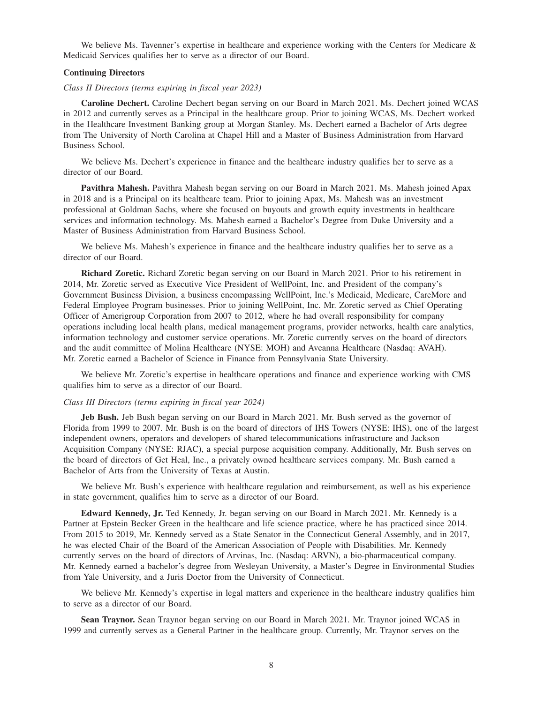We believe Ms. Tavenner's expertise in healthcare and experience working with the Centers for Medicare  $\&$ Medicaid Services qualifies her to serve as a director of our Board.

## **Continuing Directors**

#### *Class II Directors (terms expiring in fiscal year 2023)*

**Caroline Dechert.** Caroline Dechert began serving on our Board in March 2021. Ms. Dechert joined WCAS in 2012 and currently serves as a Principal in the healthcare group. Prior to joining WCAS, Ms. Dechert worked in the Healthcare Investment Banking group at Morgan Stanley. Ms. Dechert earned a Bachelor of Arts degree from The University of North Carolina at Chapel Hill and a Master of Business Administration from Harvard Business School.

We believe Ms. Dechert's experience in finance and the healthcare industry qualifies her to serve as a director of our Board.

**Pavithra Mahesh.** Pavithra Mahesh began serving on our Board in March 2021. Ms. Mahesh joined Apax in 2018 and is a Principal on its healthcare team. Prior to joining Apax, Ms. Mahesh was an investment professional at Goldman Sachs, where she focused on buyouts and growth equity investments in healthcare services and information technology. Ms. Mahesh earned a Bachelor's Degree from Duke University and a Master of Business Administration from Harvard Business School.

We believe Ms. Mahesh's experience in finance and the healthcare industry qualifies her to serve as a director of our Board.

**Richard Zoretic.** Richard Zoretic began serving on our Board in March 2021. Prior to his retirement in 2014, Mr. Zoretic served as Executive Vice President of WellPoint, Inc. and President of the company's Government Business Division, a business encompassing WellPoint, Inc.'s Medicaid, Medicare, CareMore and Federal Employee Program businesses. Prior to joining WellPoint, Inc. Mr. Zoretic served as Chief Operating Officer of Amerigroup Corporation from 2007 to 2012, where he had overall responsibility for company operations including local health plans, medical management programs, provider networks, health care analytics, information technology and customer service operations. Mr. Zoretic currently serves on the board of directors and the audit committee of Molina Healthcare (NYSE: MOH) and Aveanna Healthcare (Nasdaq: AVAH). Mr. Zoretic earned a Bachelor of Science in Finance from Pennsylvania State University.

We believe Mr. Zoretic's expertise in healthcare operations and finance and experience working with CMS qualifies him to serve as a director of our Board.

#### *Class III Directors (terms expiring in fiscal year 2024)*

**Jeb Bush.** Jeb Bush began serving on our Board in March 2021. Mr. Bush served as the governor of Florida from 1999 to 2007. Mr. Bush is on the board of directors of IHS Towers (NYSE: IHS), one of the largest independent owners, operators and developers of shared telecommunications infrastructure and Jackson Acquisition Company (NYSE: RJAC), a special purpose acquisition company. Additionally, Mr. Bush serves on the board of directors of Get Heal, Inc., a privately owned healthcare services company. Mr. Bush earned a Bachelor of Arts from the University of Texas at Austin.

We believe Mr. Bush's experience with healthcare regulation and reimbursement, as well as his experience in state government, qualifies him to serve as a director of our Board.

**Edward Kennedy, Jr.** Ted Kennedy, Jr. began serving on our Board in March 2021. Mr. Kennedy is a Partner at Epstein Becker Green in the healthcare and life science practice, where he has practiced since 2014. From 2015 to 2019, Mr. Kennedy served as a State Senator in the Connecticut General Assembly, and in 2017, he was elected Chair of the Board of the American Association of People with Disabilities. Mr. Kennedy currently serves on the board of directors of Arvinas, Inc. (Nasdaq: ARVN), a bio-pharmaceutical company. Mr. Kennedy earned a bachelor's degree from Wesleyan University, a Master's Degree in Environmental Studies from Yale University, and a Juris Doctor from the University of Connecticut.

We believe Mr. Kennedy's expertise in legal matters and experience in the healthcare industry qualifies him to serve as a director of our Board.

**Sean Traynor.** Sean Traynor began serving on our Board in March 2021. Mr. Traynor joined WCAS in 1999 and currently serves as a General Partner in the healthcare group. Currently, Mr. Traynor serves on the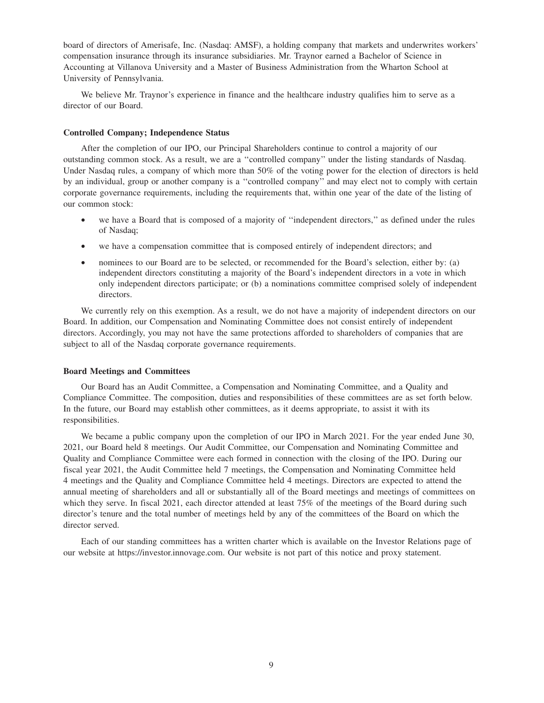board of directors of Amerisafe, Inc. (Nasdaq: AMSF), a holding company that markets and underwrites workers' compensation insurance through its insurance subsidiaries. Mr. Traynor earned a Bachelor of Science in Accounting at Villanova University and a Master of Business Administration from the Wharton School at University of Pennsylvania.

We believe Mr. Traynor's experience in finance and the healthcare industry qualifies him to serve as a director of our Board.

#### **Controlled Company; Independence Status**

After the completion of our IPO, our Principal Shareholders continue to control a majority of our outstanding common stock. As a result, we are a ''controlled company'' under the listing standards of Nasdaq. Under Nasdaq rules, a company of which more than 50% of the voting power for the election of directors is held by an individual, group or another company is a ''controlled company'' and may elect not to comply with certain corporate governance requirements, including the requirements that, within one year of the date of the listing of our common stock:

- we have a Board that is composed of a majority of "independent directors," as defined under the rules of Nasdaq;
- we have a compensation committee that is composed entirely of independent directors; and
- nominees to our Board are to be selected, or recommended for the Board's selection, either by: (a) independent directors constituting a majority of the Board's independent directors in a vote in which only independent directors participate; or (b) a nominations committee comprised solely of independent directors.

We currently rely on this exemption. As a result, we do not have a majority of independent directors on our Board. In addition, our Compensation and Nominating Committee does not consist entirely of independent directors. Accordingly, you may not have the same protections afforded to shareholders of companies that are subject to all of the Nasdaq corporate governance requirements.

## **Board Meetings and Committees**

Our Board has an Audit Committee, a Compensation and Nominating Committee, and a Quality and Compliance Committee. The composition, duties and responsibilities of these committees are as set forth below. In the future, our Board may establish other committees, as it deems appropriate, to assist it with its responsibilities.

We became a public company upon the completion of our IPO in March 2021. For the year ended June 30, 2021, our Board held 8 meetings. Our Audit Committee, our Compensation and Nominating Committee and Quality and Compliance Committee were each formed in connection with the closing of the IPO. During our fiscal year 2021, the Audit Committee held 7 meetings, the Compensation and Nominating Committee held 4 meetings and the Quality and Compliance Committee held 4 meetings. Directors are expected to attend the annual meeting of shareholders and all or substantially all of the Board meetings and meetings of committees on which they serve. In fiscal 2021, each director attended at least 75% of the meetings of the Board during such director's tenure and the total number of meetings held by any of the committees of the Board on which the director served.

Each of our standing committees has a written charter which is available on the Investor Relations page of our website at https://investor.innovage.com. Our website is not part of this notice and proxy statement.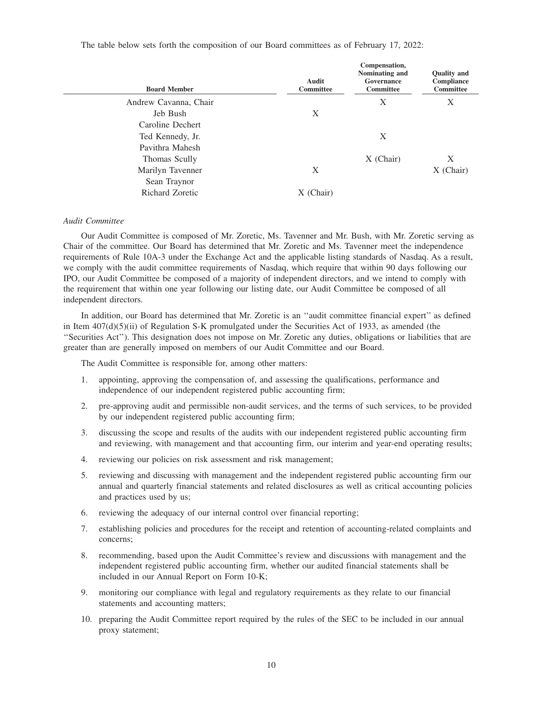The table below sets forth the composition of our Board committees as of February 17, 2022:

| <b>Board Member</b>    | Audit<br><b>Committee</b> | Compensation,<br>Nominating and<br>Governance<br><b>Committee</b> | <b>Quality and</b><br>Compliance<br>Committee |
|------------------------|---------------------------|-------------------------------------------------------------------|-----------------------------------------------|
| Andrew Cavanna, Chair  |                           | Χ                                                                 | X                                             |
| Jeb Bush               | X                         |                                                                   |                                               |
| Caroline Dechert       |                           |                                                                   |                                               |
| Ted Kennedy, Jr.       |                           | X                                                                 |                                               |
| Pavithra Mahesh        |                           |                                                                   |                                               |
| Thomas Scully          |                           | $X$ (Chair)                                                       | X                                             |
| Marilyn Tavenner       | X                         |                                                                   | X (Chair)                                     |
| Sean Traynor           |                           |                                                                   |                                               |
| <b>Richard Zoretic</b> | (Chair)                   |                                                                   |                                               |

## *Audit Committee*

Our Audit Committee is composed of Mr. Zoretic, Ms. Tavenner and Mr. Bush, with Mr. Zoretic serving as Chair of the committee. Our Board has determined that Mr. Zoretic and Ms. Tavenner meet the independence requirements of Rule 10A-3 under the Exchange Act and the applicable listing standards of Nasdaq. As a result, we comply with the audit committee requirements of Nasdaq, which require that within 90 days following our IPO, our Audit Committee be composed of a majority of independent directors, and we intend to comply with the requirement that within one year following our listing date, our Audit Committee be composed of all independent directors.

In addition, our Board has determined that Mr. Zoretic is an ''audit committee financial expert'' as defined in Item 407(d)(5)(ii) of Regulation S-K promulgated under the Securities Act of 1933, as amended (the ''Securities Act''). This designation does not impose on Mr. Zoretic any duties, obligations or liabilities that are greater than are generally imposed on members of our Audit Committee and our Board.

The Audit Committee is responsible for, among other matters:

- 1. appointing, approving the compensation of, and assessing the qualifications, performance and independence of our independent registered public accounting firm;
- 2. pre-approving audit and permissible non-audit services, and the terms of such services, to be provided by our independent registered public accounting firm;
- 3. discussing the scope and results of the audits with our independent registered public accounting firm and reviewing, with management and that accounting firm, our interim and year-end operating results;
- 4. reviewing our policies on risk assessment and risk management;
- 5. reviewing and discussing with management and the independent registered public accounting firm our annual and quarterly financial statements and related disclosures as well as critical accounting policies and practices used by us;
- 6. reviewing the adequacy of our internal control over financial reporting;
- 7. establishing policies and procedures for the receipt and retention of accounting-related complaints and concerns;
- 8. recommending, based upon the Audit Committee's review and discussions with management and the independent registered public accounting firm, whether our audited financial statements shall be included in our Annual Report on Form 10-K;
- 9. monitoring our compliance with legal and regulatory requirements as they relate to our financial statements and accounting matters;
- 10. preparing the Audit Committee report required by the rules of the SEC to be included in our annual proxy statement;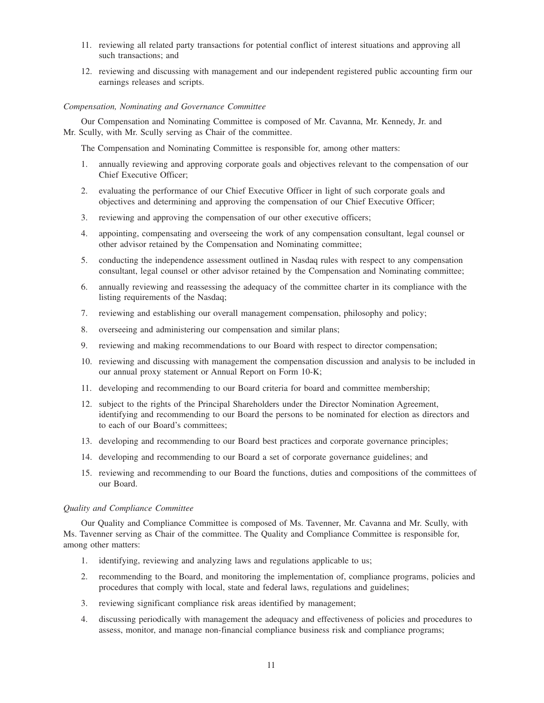- 11. reviewing all related party transactions for potential conflict of interest situations and approving all such transactions; and
- 12. reviewing and discussing with management and our independent registered public accounting firm our earnings releases and scripts.

#### *Compensation, Nominating and Governance Committee*

Our Compensation and Nominating Committee is composed of Mr. Cavanna, Mr. Kennedy, Jr. and Mr. Scully, with Mr. Scully serving as Chair of the committee.

The Compensation and Nominating Committee is responsible for, among other matters:

- 1. annually reviewing and approving corporate goals and objectives relevant to the compensation of our Chief Executive Officer;
- 2. evaluating the performance of our Chief Executive Officer in light of such corporate goals and objectives and determining and approving the compensation of our Chief Executive Officer;
- 3. reviewing and approving the compensation of our other executive officers;
- 4. appointing, compensating and overseeing the work of any compensation consultant, legal counsel or other advisor retained by the Compensation and Nominating committee;
- 5. conducting the independence assessment outlined in Nasdaq rules with respect to any compensation consultant, legal counsel or other advisor retained by the Compensation and Nominating committee;
- 6. annually reviewing and reassessing the adequacy of the committee charter in its compliance with the listing requirements of the Nasdaq;
- 7. reviewing and establishing our overall management compensation, philosophy and policy;
- 8. overseeing and administering our compensation and similar plans;
- 9. reviewing and making recommendations to our Board with respect to director compensation;
- 10. reviewing and discussing with management the compensation discussion and analysis to be included in our annual proxy statement or Annual Report on Form 10-K;
- 11. developing and recommending to our Board criteria for board and committee membership;
- 12. subject to the rights of the Principal Shareholders under the Director Nomination Agreement, identifying and recommending to our Board the persons to be nominated for election as directors and to each of our Board's committees;
- 13. developing and recommending to our Board best practices and corporate governance principles;
- 14. developing and recommending to our Board a set of corporate governance guidelines; and
- 15. reviewing and recommending to our Board the functions, duties and compositions of the committees of our Board.

#### *Quality and Compliance Committee*

Our Quality and Compliance Committee is composed of Ms. Tavenner, Mr. Cavanna and Mr. Scully, with Ms. Tavenner serving as Chair of the committee. The Quality and Compliance Committee is responsible for, among other matters:

- 1. identifying, reviewing and analyzing laws and regulations applicable to us;
- 2. recommending to the Board, and monitoring the implementation of, compliance programs, policies and procedures that comply with local, state and federal laws, regulations and guidelines;
- 3. reviewing significant compliance risk areas identified by management;
- 4. discussing periodically with management the adequacy and effectiveness of policies and procedures to assess, monitor, and manage non-financial compliance business risk and compliance programs;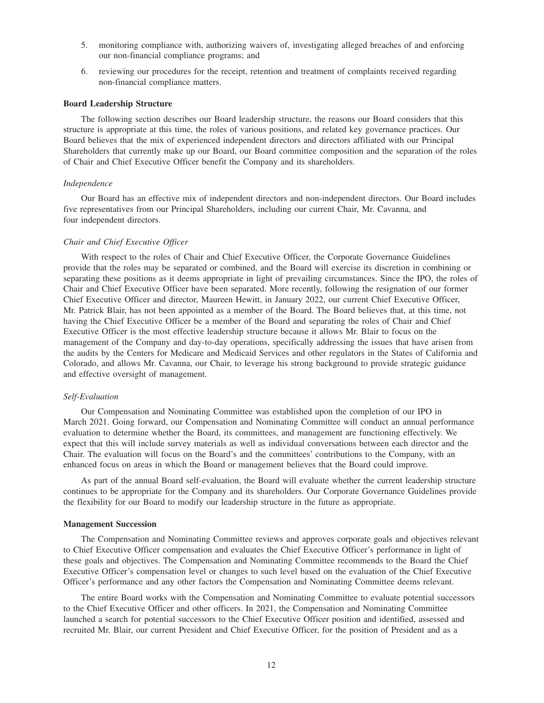- 5. monitoring compliance with, authorizing waivers of, investigating alleged breaches of and enforcing our non-financial compliance programs; and
- 6. reviewing our procedures for the receipt, retention and treatment of complaints received regarding non-financial compliance matters.

#### **Board Leadership Structure**

The following section describes our Board leadership structure, the reasons our Board considers that this structure is appropriate at this time, the roles of various positions, and related key governance practices. Our Board believes that the mix of experienced independent directors and directors affiliated with our Principal Shareholders that currently make up our Board, our Board committee composition and the separation of the roles of Chair and Chief Executive Officer benefit the Company and its shareholders.

### *Independence*

Our Board has an effective mix of independent directors and non-independent directors. Our Board includes five representatives from our Principal Shareholders, including our current Chair, Mr. Cavanna, and four independent directors.

#### *Chair and Chief Executive Officer*

With respect to the roles of Chair and Chief Executive Officer, the Corporate Governance Guidelines provide that the roles may be separated or combined, and the Board will exercise its discretion in combining or separating these positions as it deems appropriate in light of prevailing circumstances. Since the IPO, the roles of Chair and Chief Executive Officer have been separated. More recently, following the resignation of our former Chief Executive Officer and director, Maureen Hewitt, in January 2022, our current Chief Executive Officer, Mr. Patrick Blair, has not been appointed as a member of the Board. The Board believes that, at this time, not having the Chief Executive Officer be a member of the Board and separating the roles of Chair and Chief Executive Officer is the most effective leadership structure because it allows Mr. Blair to focus on the management of the Company and day-to-day operations, specifically addressing the issues that have arisen from the audits by the Centers for Medicare and Medicaid Services and other regulators in the States of California and Colorado, and allows Mr. Cavanna, our Chair, to leverage his strong background to provide strategic guidance and effective oversight of management.

## *Self-Evaluation*

Our Compensation and Nominating Committee was established upon the completion of our IPO in March 2021. Going forward, our Compensation and Nominating Committee will conduct an annual performance evaluation to determine whether the Board, its committees, and management are functioning effectively. We expect that this will include survey materials as well as individual conversations between each director and the Chair. The evaluation will focus on the Board's and the committees' contributions to the Company, with an enhanced focus on areas in which the Board or management believes that the Board could improve.

As part of the annual Board self-evaluation, the Board will evaluate whether the current leadership structure continues to be appropriate for the Company and its shareholders. Our Corporate Governance Guidelines provide the flexibility for our Board to modify our leadership structure in the future as appropriate.

#### **Management Succession**

The Compensation and Nominating Committee reviews and approves corporate goals and objectives relevant to Chief Executive Officer compensation and evaluates the Chief Executive Officer's performance in light of these goals and objectives. The Compensation and Nominating Committee recommends to the Board the Chief Executive Officer's compensation level or changes to such level based on the evaluation of the Chief Executive Officer's performance and any other factors the Compensation and Nominating Committee deems relevant.

The entire Board works with the Compensation and Nominating Committee to evaluate potential successors to the Chief Executive Officer and other officers. In 2021, the Compensation and Nominating Committee launched a search for potential successors to the Chief Executive Officer position and identified, assessed and recruited Mr. Blair, our current President and Chief Executive Officer, for the position of President and as a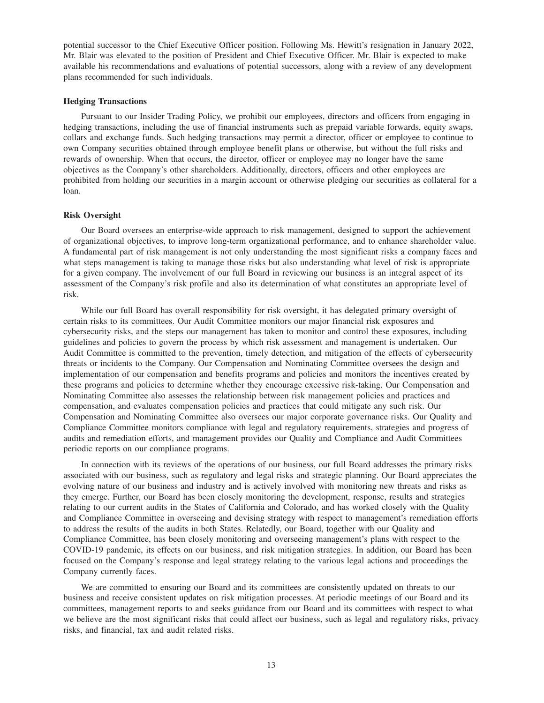potential successor to the Chief Executive Officer position. Following Ms. Hewitt's resignation in January 2022, Mr. Blair was elevated to the position of President and Chief Executive Officer. Mr. Blair is expected to make available his recommendations and evaluations of potential successors, along with a review of any development plans recommended for such individuals.

## **Hedging Transactions**

Pursuant to our Insider Trading Policy, we prohibit our employees, directors and officers from engaging in hedging transactions, including the use of financial instruments such as prepaid variable forwards, equity swaps, collars and exchange funds. Such hedging transactions may permit a director, officer or employee to continue to own Company securities obtained through employee benefit plans or otherwise, but without the full risks and rewards of ownership. When that occurs, the director, officer or employee may no longer have the same objectives as the Company's other shareholders. Additionally, directors, officers and other employees are prohibited from holding our securities in a margin account or otherwise pledging our securities as collateral for a loan.

#### **Risk Oversight**

Our Board oversees an enterprise-wide approach to risk management, designed to support the achievement of organizational objectives, to improve long-term organizational performance, and to enhance shareholder value. A fundamental part of risk management is not only understanding the most significant risks a company faces and what steps management is taking to manage those risks but also understanding what level of risk is appropriate for a given company. The involvement of our full Board in reviewing our business is an integral aspect of its assessment of the Company's risk profile and also its determination of what constitutes an appropriate level of risk.

While our full Board has overall responsibility for risk oversight, it has delegated primary oversight of certain risks to its committees. Our Audit Committee monitors our major financial risk exposures and cybersecurity risks, and the steps our management has taken to monitor and control these exposures, including guidelines and policies to govern the process by which risk assessment and management is undertaken. Our Audit Committee is committed to the prevention, timely detection, and mitigation of the effects of cybersecurity threats or incidents to the Company. Our Compensation and Nominating Committee oversees the design and implementation of our compensation and benefits programs and policies and monitors the incentives created by these programs and policies to determine whether they encourage excessive risk-taking. Our Compensation and Nominating Committee also assesses the relationship between risk management policies and practices and compensation, and evaluates compensation policies and practices that could mitigate any such risk. Our Compensation and Nominating Committee also oversees our major corporate governance risks. Our Quality and Compliance Committee monitors compliance with legal and regulatory requirements, strategies and progress of audits and remediation efforts, and management provides our Quality and Compliance and Audit Committees periodic reports on our compliance programs.

In connection with its reviews of the operations of our business, our full Board addresses the primary risks associated with our business, such as regulatory and legal risks and strategic planning. Our Board appreciates the evolving nature of our business and industry and is actively involved with monitoring new threats and risks as they emerge. Further, our Board has been closely monitoring the development, response, results and strategies relating to our current audits in the States of California and Colorado, and has worked closely with the Quality and Compliance Committee in overseeing and devising strategy with respect to management's remediation efforts to address the results of the audits in both States. Relatedly, our Board, together with our Quality and Compliance Committee, has been closely monitoring and overseeing management's plans with respect to the COVID-19 pandemic, its effects on our business, and risk mitigation strategies. In addition, our Board has been focused on the Company's response and legal strategy relating to the various legal actions and proceedings the Company currently faces.

We are committed to ensuring our Board and its committees are consistently updated on threats to our business and receive consistent updates on risk mitigation processes. At periodic meetings of our Board and its committees, management reports to and seeks guidance from our Board and its committees with respect to what we believe are the most significant risks that could affect our business, such as legal and regulatory risks, privacy risks, and financial, tax and audit related risks.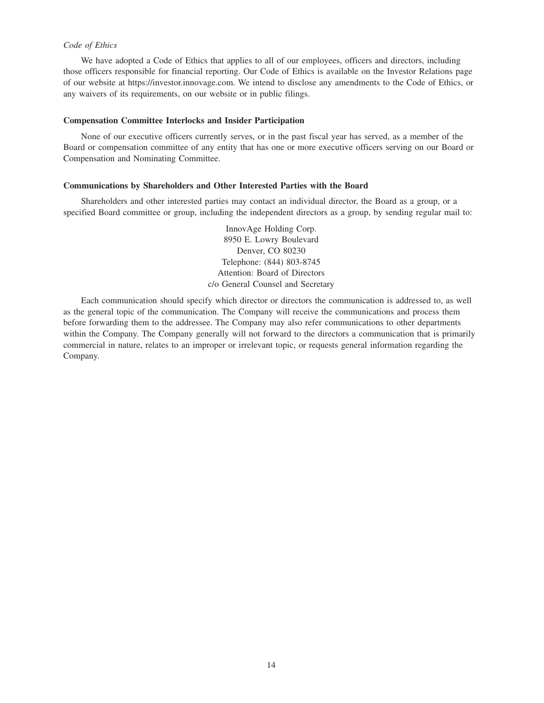## *Code of Ethics*

We have adopted a Code of Ethics that applies to all of our employees, officers and directors, including those officers responsible for financial reporting. Our Code of Ethics is available on the Investor Relations page of our website at https://investor.innovage.com. We intend to disclose any amendments to the Code of Ethics, or any waivers of its requirements, on our website or in public filings.

#### **Compensation Committee Interlocks and Insider Participation**

None of our executive officers currently serves, or in the past fiscal year has served, as a member of the Board or compensation committee of any entity that has one or more executive officers serving on our Board or Compensation and Nominating Committee.

## **Communications by Shareholders and Other Interested Parties with the Board**

Shareholders and other interested parties may contact an individual director, the Board as a group, or a specified Board committee or group, including the independent directors as a group, by sending regular mail to:

> InnovAge Holding Corp. 8950 E. Lowry Boulevard Denver, CO 80230 Telephone: (844) 803-8745 Attention: Board of Directors c/o General Counsel and Secretary

Each communication should specify which director or directors the communication is addressed to, as well as the general topic of the communication. The Company will receive the communications and process them before forwarding them to the addressee. The Company may also refer communications to other departments within the Company. The Company generally will not forward to the directors a communication that is primarily commercial in nature, relates to an improper or irrelevant topic, or requests general information regarding the Company.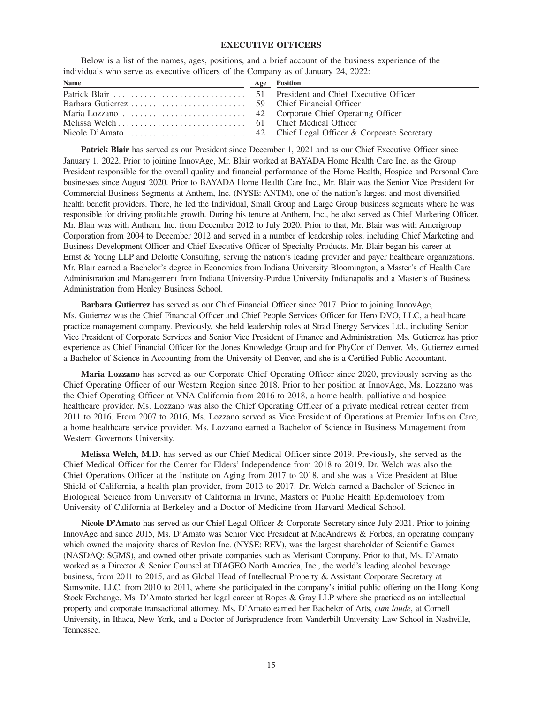## **EXECUTIVE OFFICERS**

Below is a list of the names, ages, positions, and a brief account of the business experience of the individuals who serve as executive officers of the Company as of January 24, 2022:

| Name | Age Position |
|------|--------------|
|      |              |
|      |              |
|      |              |
|      |              |
|      |              |

**Patrick Blair** has served as our President since December 1, 2021 and as our Chief Executive Officer since January 1, 2022. Prior to joining InnovAge, Mr. Blair worked at BAYADA Home Health Care Inc. as the Group President responsible for the overall quality and financial performance of the Home Health, Hospice and Personal Care businesses since August 2020. Prior to BAYADA Home Health Care Inc., Mr. Blair was the Senior Vice President for Commercial Business Segments at Anthem, Inc. (NYSE: ANTM), one of the nation's largest and most diversified health benefit providers. There, he led the Individual, Small Group and Large Group business segments where he was responsible for driving profitable growth. During his tenure at Anthem, Inc., he also served as Chief Marketing Officer. Mr. Blair was with Anthem, Inc. from December 2012 to July 2020. Prior to that, Mr. Blair was with Amerigroup Corporation from 2004 to December 2012 and served in a number of leadership roles, including Chief Marketing and Business Development Officer and Chief Executive Officer of Specialty Products. Mr. Blair began his career at Ernst & Young LLP and Deloitte Consulting, serving the nation's leading provider and payer healthcare organizations. Mr. Blair earned a Bachelor's degree in Economics from Indiana University Bloomington, a Master's of Health Care Administration and Management from Indiana University-Purdue University Indianapolis and a Master's of Business Administration from Henley Business School.

**Barbara Gutierrez** has served as our Chief Financial Officer since 2017. Prior to joining InnovAge, Ms. Gutierrez was the Chief Financial Officer and Chief People Services Officer for Hero DVO, LLC, a healthcare practice management company. Previously, she held leadership roles at Strad Energy Services Ltd., including Senior Vice President of Corporate Services and Senior Vice President of Finance and Administration. Ms. Gutierrez has prior experience as Chief Financial Officer for the Jones Knowledge Group and for PhyCor of Denver. Ms. Gutierrez earned a Bachelor of Science in Accounting from the University of Denver, and she is a Certified Public Accountant.

**Maria Lozzano** has served as our Corporate Chief Operating Officer since 2020, previously serving as the Chief Operating Officer of our Western Region since 2018. Prior to her position at InnovAge, Ms. Lozzano was the Chief Operating Officer at VNA California from 2016 to 2018, a home health, palliative and hospice healthcare provider. Ms. Lozzano was also the Chief Operating Officer of a private medical retreat center from 2011 to 2016. From 2007 to 2016, Ms. Lozzano served as Vice President of Operations at Premier Infusion Care, a home healthcare service provider. Ms. Lozzano earned a Bachelor of Science in Business Management from Western Governors University.

**Melissa Welch, M.D.** has served as our Chief Medical Officer since 2019. Previously, she served as the Chief Medical Officer for the Center for Elders' Independence from 2018 to 2019. Dr. Welch was also the Chief Operations Officer at the Institute on Aging from 2017 to 2018, and she was a Vice President at Blue Shield of California, a health plan provider, from 2013 to 2017. Dr. Welch earned a Bachelor of Science in Biological Science from University of California in Irvine, Masters of Public Health Epidemiology from University of California at Berkeley and a Doctor of Medicine from Harvard Medical School.

**Nicole D'Amato** has served as our Chief Legal Officer & Corporate Secretary since July 2021. Prior to joining InnovAge and since 2015, Ms. D'Amato was Senior Vice President at MacAndrews & Forbes, an operating company which owned the majority shares of Revlon Inc. (NYSE: REV), was the largest shareholder of Scientific Games (NASDAQ: SGMS), and owned other private companies such as Merisant Company. Prior to that, Ms. D'Amato worked as a Director & Senior Counsel at DIAGEO North America, Inc., the world's leading alcohol beverage business, from 2011 to 2015, and as Global Head of Intellectual Property & Assistant Corporate Secretary at Samsonite, LLC, from 2010 to 2011, where she participated in the company's initial public offering on the Hong Kong Stock Exchange. Ms. D'Amato started her legal career at Ropes & Gray LLP where she practiced as an intellectual property and corporate transactional attorney. Ms. D'Amato earned her Bachelor of Arts, *cum laude*, at Cornell University, in Ithaca, New York, and a Doctor of Jurisprudence from Vanderbilt University Law School in Nashville, Tennessee.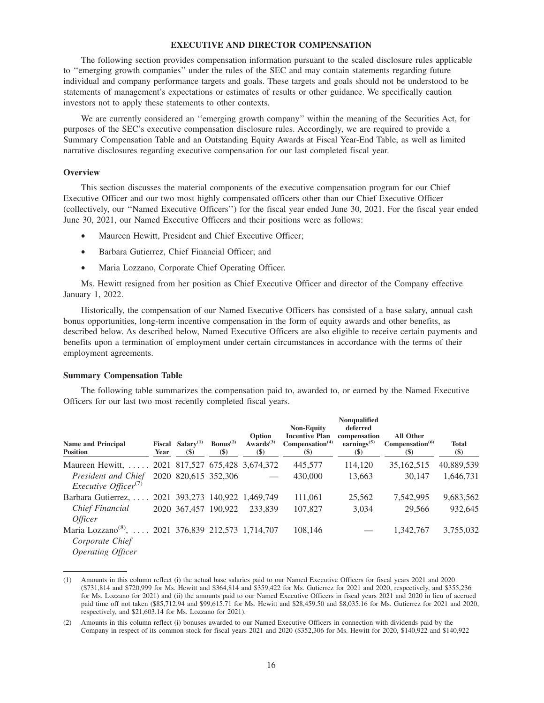## **EXECUTIVE AND DIRECTOR COMPENSATION**

The following section provides compensation information pursuant to the scaled disclosure rules applicable to ''emerging growth companies'' under the rules of the SEC and may contain statements regarding future individual and company performance targets and goals. These targets and goals should not be understood to be statements of management's expectations or estimates of results or other guidance. We specifically caution investors not to apply these statements to other contexts.

We are currently considered an ''emerging growth company'' within the meaning of the Securities Act, for purposes of the SEC's executive compensation disclosure rules. Accordingly, we are required to provide a Summary Compensation Table and an Outstanding Equity Awards at Fiscal Year-End Table, as well as limited narrative disclosures regarding executive compensation for our last completed fiscal year.

#### **Overview**

This section discusses the material components of the executive compensation program for our Chief Executive Officer and our two most highly compensated officers other than our Chief Executive Officer (collectively, our ''Named Executive Officers'') for the fiscal year ended June 30, 2021. For the fiscal year ended June 30, 2021, our Named Executive Officers and their positions were as follows:

- Maureen Hewitt, President and Chief Executive Officer;
- Barbara Gutierrez, Chief Financial Officer; and
- Maria Lozzano, Corporate Chief Operating Officer.

Ms. Hewitt resigned from her position as Chief Executive Officer and director of the Company effective January 1, 2022.

Historically, the compensation of our Named Executive Officers has consisted of a base salary, annual cash bonus opportunities, long-term incentive compensation in the form of equity awards and other benefits, as described below. As described below, Named Executive Officers are also eligible to receive certain payments and benefits upon a termination of employment under certain circumstances in accordance with the terms of their employment agreements.

#### **Summary Compensation Table**

The following table summarizes the compensation paid to, awarded to, or earned by the Named Executive Officers for our last two most recently completed fiscal years.

| <b>Name and Principal</b><br><b>Position</b>                                                           | Year | Fiscal Salary <sup>(1)</sup><br>$\left( \mathbb{S}\right)$ | $Bonus^{(2)}$<br>$\left( \mathbb{S}\right)$ | Option<br>Awards <sup>(3)</sup><br>$(\$)$ | <b>Non-Equity</b><br><b>Incentive Plan</b><br>Compensation <sup>(4)</sup><br>$($ \$) | <b>Nonqualified</b><br>deferred<br>compensation<br>earnings $(5)$<br>$(\$)$ | <b>All Other</b><br>Compensation <sup>(6)</sup><br>$(\$)$ | <b>Total</b><br>$($)$ |
|--------------------------------------------------------------------------------------------------------|------|------------------------------------------------------------|---------------------------------------------|-------------------------------------------|--------------------------------------------------------------------------------------|-----------------------------------------------------------------------------|-----------------------------------------------------------|-----------------------|
| Maureen Hewitt,  2021 817,527 675,428 3,674,372                                                        |      |                                                            |                                             |                                           | 445,577                                                                              | 114,120                                                                     | 35,162,515                                                | 40,889,539            |
| President and Chief<br>Executive Officer <sup>(7)</sup>                                                |      | 2020 820,615 352,306                                       |                                             |                                           | 430,000                                                                              | 13,663                                                                      | 30,147                                                    | 1,646,731             |
| Barbara Gutierrez,  2021 393,273 140,922 1,469,749                                                     |      |                                                            |                                             |                                           | 111,061                                                                              | 25,562                                                                      | 7,542,995                                                 | 9,683,562             |
| Chief Financial<br><i>Officer</i>                                                                      |      | 2020 367,457 190,922                                       |                                             | 233,839                                   | 107,827                                                                              | 3.034                                                                       | 29,566                                                    | 932,645               |
| Maria Lozzano <sup>(8)</sup> ,  2021 376,839 212,573 1,714,707<br>Corporate Chief<br>Operating Officer |      |                                                            |                                             |                                           | 108.146                                                                              |                                                                             | 1,342,767                                                 | 3,755,032             |

<sup>(1)</sup> Amounts in this column reflect (i) the actual base salaries paid to our Named Executive Officers for fiscal years 2021 and 2020 (\$731,814 and \$720,999 for Ms. Hewitt and \$364,814 and \$359,422 for Ms. Gutierrez for 2021 and 2020, respectively, and \$355,236 for Ms. Lozzano for 2021) and (ii) the amounts paid to our Named Executive Officers in fiscal years 2021 and 2020 in lieu of accrued paid time off not taken (\$85,712.94 and \$99,615.71 for Ms. Hewitt and \$28,459.50 and \$8,035.16 for Ms. Gutierrez for 2021 and 2020, respectively, and \$21,603.14 for Ms. Lozzano for 2021).

<sup>(2)</sup> Amounts in this column reflect (i) bonuses awarded to our Named Executive Officers in connection with dividends paid by the Company in respect of its common stock for fiscal years 2021 and 2020 (\$352,306 for Ms. Hewitt for 2020, \$140,922 and \$140,922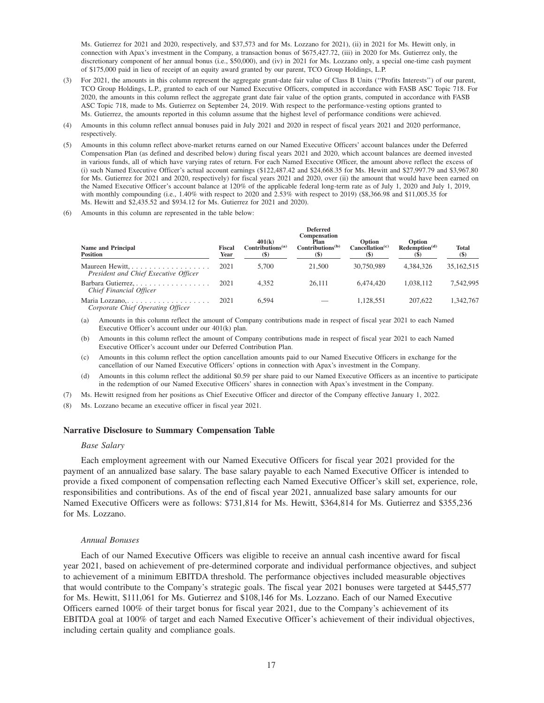Ms. Gutierrez for 2021 and 2020, respectively, and \$37,573 and for Ms. Lozzano for 2021), (ii) in 2021 for Ms. Hewitt only, in connection with Apax's investment in the Company, a transaction bonus of \$675,427.72, (iii) in 2020 for Ms. Gutierrez only, the discretionary component of her annual bonus (i.e., \$50,000), and (iv) in 2021 for Ms. Lozzano only, a special one-time cash payment of \$175,000 paid in lieu of receipt of an equity award granted by our parent, TCO Group Holdings, L.P.

- (3) For 2021, the amounts in this column represent the aggregate grant-date fair value of Class B Units (''Profits Interests'') of our parent, TCO Group Holdings, L.P., granted to each of our Named Executive Officers, computed in accordance with FASB ASC Topic 718. For 2020, the amounts in this column reflect the aggregate grant date fair value of the option grants, computed in accordance with FASB ASC Topic 718, made to Ms. Gutierrez on September 24, 2019. With respect to the performance-vesting options granted to Ms. Gutierrez, the amounts reported in this column assume that the highest level of performance conditions were achieved.
- (4) Amounts in this column reflect annual bonuses paid in July 2021 and 2020 in respect of fiscal years 2021 and 2020 performance, respectively.
- (5) Amounts in this column reflect above-market returns earned on our Named Executive Officers' account balances under the Deferred Compensation Plan (as defined and described below) during fiscal years 2021 and 2020, which account balances are deemed invested in various funds, all of which have varying rates of return. For each Named Executive Officer, the amount above reflect the excess of (i) such Named Executive Officer's actual account earnings (\$122,487.42 and \$24,668.35 for Ms. Hewitt and \$27,997.79 and \$3,967.80 for Ms. Gutierrez for 2021 and 2020, respectively) for fiscal years 2021 and 2020, over (ii) the amount that would have been earned on the Named Executive Officer's account balance at 120% of the applicable federal long-term rate as of July 1, 2020 and July 1, 2019, with monthly compounding (i.e., 1.40% with respect to 2020 and 2.53% with respect to 2019) (\$8,366.98 and \$11,005.35 for Ms. Hewitt and \$2,435.52 and \$934.12 for Ms. Gutierrez for 2021 and 2020).
- Amounts in this column are represented in the table below:

| <b>Name and Principal</b><br><b>Position</b>             | <b>Fiscal</b><br>Year | 401(k)<br>Continuous <sup>(a)</sup><br>$($ \$) | <b>Deferred</b><br>Compensation<br>Plan<br>Contributions <sup>(b)</sup><br>$(\$)$ | Option<br>Cancellation <sup>(c)</sup> | <b>Option</b><br>Redemption <sup>(d)</sup> | <b>Total</b><br>$($ \$) |
|----------------------------------------------------------|-----------------------|------------------------------------------------|-----------------------------------------------------------------------------------|---------------------------------------|--------------------------------------------|-------------------------|
| Maureen Hewitt,<br>President and Chief Executive Officer | 2021                  | 5.700                                          | 21,500                                                                            | 30.750.989                            | 4.384.326                                  | 35,162,515              |
| Barbara Gutierrez,<br>Chief Financial Officer            | 2021                  | 4.352                                          | 26.111                                                                            | 6.474.420                             | 1.038.112                                  | 7.542.995               |
| Comparate Chief Onematics Officer                        | 2021                  | 6.594                                          |                                                                                   | 1.128.551                             | 207,622                                    | 1.342.767               |

*Corporate Chief Operating Officer*

(a) Amounts in this column reflect the amount of Company contributions made in respect of fiscal year 2021 to each Named Executive Officer's account under our 401(k) plan.

(b) Amounts in this column reflect the amount of Company contributions made in respect of fiscal year 2021 to each Named Executive Officer's account under our Deferred Contribution Plan.

- (c) Amounts in this column reflect the option cancellation amounts paid to our Named Executive Officers in exchange for the cancellation of our Named Executive Officers' options in connection with Apax's investment in the Company.
- (d) Amounts in this column reflect the additional \$0.59 per share paid to our Named Executive Officers as an incentive to participate in the redemption of our Named Executive Officers' shares in connection with Apax's investment in the Company.
- (7) Ms. Hewitt resigned from her positions as Chief Executive Officer and director of the Company effective January 1, 2022.

(8) Ms. Lozzano became an executive officer in fiscal year 2021.

#### **Narrative Disclosure to Summary Compensation Table**

#### *Base Salary*

Each employment agreement with our Named Executive Officers for fiscal year 2021 provided for the payment of an annualized base salary. The base salary payable to each Named Executive Officer is intended to provide a fixed component of compensation reflecting each Named Executive Officer's skill set, experience, role, responsibilities and contributions. As of the end of fiscal year 2021, annualized base salary amounts for our Named Executive Officers were as follows: \$731,814 for Ms. Hewitt, \$364,814 for Ms. Gutierrez and \$355,236 for Ms. Lozzano.

#### *Annual Bonuses*

Each of our Named Executive Officers was eligible to receive an annual cash incentive award for fiscal year 2021, based on achievement of pre-determined corporate and individual performance objectives, and subject to achievement of a minimum EBITDA threshold. The performance objectives included measurable objectives that would contribute to the Company's strategic goals. The fiscal year 2021 bonuses were targeted at \$445,577 for Ms. Hewitt, \$111,061 for Ms. Gutierrez and \$108,146 for Ms. Lozzano. Each of our Named Executive Officers earned 100% of their target bonus for fiscal year 2021, due to the Company's achievement of its EBITDA goal at 100% of target and each Named Executive Officer's achievement of their individual objectives, including certain quality and compliance goals.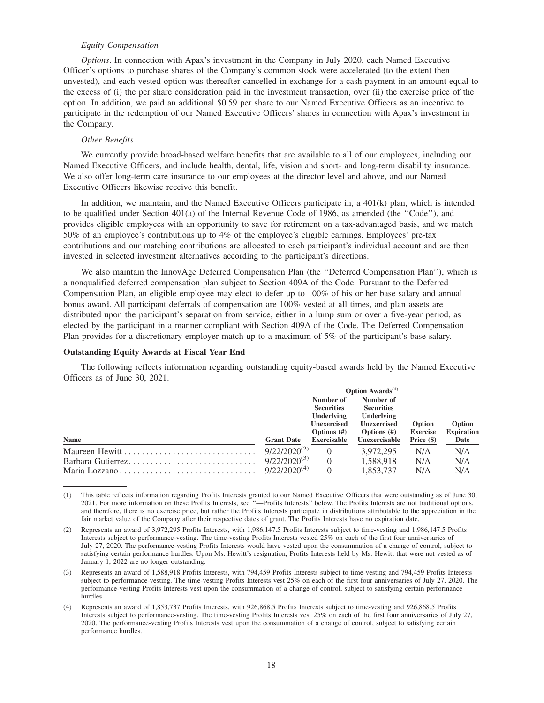## *Equity Compensation*

*Options*. In connection with Apax's investment in the Company in July 2020, each Named Executive Officer's options to purchase shares of the Company's common stock were accelerated (to the extent then unvested), and each vested option was thereafter cancelled in exchange for a cash payment in an amount equal to the excess of (i) the per share consideration paid in the investment transaction, over (ii) the exercise price of the option. In addition, we paid an additional \$0.59 per share to our Named Executive Officers as an incentive to participate in the redemption of our Named Executive Officers' shares in connection with Apax's investment in the Company.

#### *Other Benefits*

We currently provide broad-based welfare benefits that are available to all of our employees, including our Named Executive Officers, and include health, dental, life, vision and short- and long-term disability insurance. We also offer long-term care insurance to our employees at the director level and above, and our Named Executive Officers likewise receive this benefit.

In addition, we maintain, and the Named Executive Officers participate in, a 401(k) plan, which is intended to be qualified under Section 401(a) of the Internal Revenue Code of 1986, as amended (the ''Code''), and provides eligible employees with an opportunity to save for retirement on a tax-advantaged basis, and we match 50% of an employee's contributions up to 4% of the employee's eligible earnings. Employees' pre-tax contributions and our matching contributions are allocated to each participant's individual account and are then invested in selected investment alternatives according to the participant's directions.

We also maintain the InnovAge Deferred Compensation Plan (the ''Deferred Compensation Plan''), which is a nonqualified deferred compensation plan subject to Section 409A of the Code. Pursuant to the Deferred Compensation Plan, an eligible employee may elect to defer up to 100% of his or her base salary and annual bonus award. All participant deferrals of compensation are 100% vested at all times, and plan assets are distributed upon the participant's separation from service, either in a lump sum or over a five-year period, as elected by the participant in a manner compliant with Section 409A of the Code. The Deferred Compensation Plan provides for a discretionary employer match up to a maximum of 5% of the participant's base salary.

#### **Outstanding Equity Awards at Fiscal Year End**

The following reflects information regarding outstanding equity-based awards held by the Named Executive Officers as of June 30, 2021.

|                   | <b>Option Awards</b> <sup>(1)</sup> |                                                    |                                                    |                           |                             |
|-------------------|-------------------------------------|----------------------------------------------------|----------------------------------------------------|---------------------------|-----------------------------|
|                   |                                     | Number of<br><b>Securities</b>                     | Number of<br><b>Securities</b>                     |                           |                             |
|                   |                                     | Underlying<br><b>Unexercised</b><br>Options $(\#)$ | Underlying<br><b>Unexercised</b><br>Options $(\#)$ | Option<br><b>Exercise</b> | Option<br><b>Expiration</b> |
| Name              | <b>Grant Date</b>                   | <b>Exercisable</b>                                 | Unexercisable                                      | Price $(\$)$              | Date                        |
|                   | $9/22/2020^{(2)}$                   | $\Omega$                                           | 3.972.295                                          | N/A                       | N/A                         |
| Barbara Gutierrez | $9/22/2020^{(3)}$                   | $\Omega$                                           | 1.588.918                                          | N/A                       | N/A                         |
| Maria Lozzano     | $9/22/2020^{(4)}$                   | $\Omega$                                           | 1.853.737                                          | N/A                       | N/A                         |

(1) This table reflects information regarding Profits Interests granted to our Named Executive Officers that were outstanding as of June 30, 2021. For more information on these Profits Interests, see ''—Profits Interests'' below. The Profits Interests are not traditional options, and therefore, there is no exercise price, but rather the Profits Interests participate in distributions attributable to the appreciation in the fair market value of the Company after their respective dates of grant. The Profits Interests have no expiration date.

<sup>(2)</sup> Represents an award of 3,972,295 Profits Interests, with 1,986,147.5 Profits Interests subject to time-vesting and 1,986,147.5 Profits Interests subject to performance-vesting. The time-vesting Profits Interests vested 25% on each of the first four anniversaries of July 27, 2020. The performance-vesting Profits Interests would have vested upon the consummation of a change of control, subject to satisfying certain performance hurdles. Upon Ms. Hewitt's resignation, Profits Interests held by Ms. Hewitt that were not vested as of January 1, 2022 are no longer outstanding.

<sup>(3)</sup> Represents an award of 1,588,918 Profits Interests, with 794,459 Profits Interests subject to time-vesting and 794,459 Profits Interests subject to performance-vesting. The time-vesting Profits Interests vest 25% on each of the first four anniversaries of July 27, 2020. The performance-vesting Profits Interests vest upon the consummation of a change of control, subject to satisfying certain performance hurdles.

<sup>(4)</sup> Represents an award of 1,853,737 Profits Interests, with 926,868.5 Profits Interests subject to time-vesting and 926,868.5 Profits Interests subject to performance-vesting. The time-vesting Profits Interests vest 25% on each of the first four anniversaries of July 27, 2020. The performance-vesting Profits Interests vest upon the consummation of a change of control, subject to satisfying certain performance hurdles.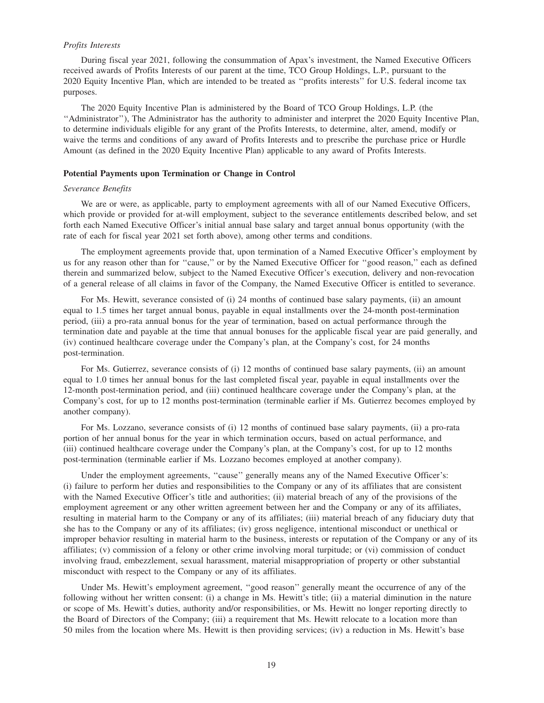## *Profits Interests*

During fiscal year 2021, following the consummation of Apax's investment, the Named Executive Officers received awards of Profits Interests of our parent at the time, TCO Group Holdings, L.P., pursuant to the 2020 Equity Incentive Plan, which are intended to be treated as ''profits interests'' for U.S. federal income tax purposes.

The 2020 Equity Incentive Plan is administered by the Board of TCO Group Holdings, L.P. (the ''Administrator''), The Administrator has the authority to administer and interpret the 2020 Equity Incentive Plan, to determine individuals eligible for any grant of the Profits Interests, to determine, alter, amend, modify or waive the terms and conditions of any award of Profits Interests and to prescribe the purchase price or Hurdle Amount (as defined in the 2020 Equity Incentive Plan) applicable to any award of Profits Interests.

#### **Potential Payments upon Termination or Change in Control**

## *Severance Benefits*

We are or were, as applicable, party to employment agreements with all of our Named Executive Officers, which provide or provided for at-will employment, subject to the severance entitlements described below, and set forth each Named Executive Officer's initial annual base salary and target annual bonus opportunity (with the rate of each for fiscal year 2021 set forth above), among other terms and conditions.

The employment agreements provide that, upon termination of a Named Executive Officer's employment by us for any reason other than for ''cause,'' or by the Named Executive Officer for ''good reason,'' each as defined therein and summarized below, subject to the Named Executive Officer's execution, delivery and non-revocation of a general release of all claims in favor of the Company, the Named Executive Officer is entitled to severance.

For Ms. Hewitt, severance consisted of (i) 24 months of continued base salary payments, (ii) an amount equal to 1.5 times her target annual bonus, payable in equal installments over the 24-month post-termination period, (iii) a pro-rata annual bonus for the year of termination, based on actual performance through the termination date and payable at the time that annual bonuses for the applicable fiscal year are paid generally, and (iv) continued healthcare coverage under the Company's plan, at the Company's cost, for 24 months post-termination.

For Ms. Gutierrez, severance consists of (i) 12 months of continued base salary payments, (ii) an amount equal to 1.0 times her annual bonus for the last completed fiscal year, payable in equal installments over the 12-month post-termination period, and (iii) continued healthcare coverage under the Company's plan, at the Company's cost, for up to 12 months post-termination (terminable earlier if Ms. Gutierrez becomes employed by another company).

For Ms. Lozzano, severance consists of (i) 12 months of continued base salary payments, (ii) a pro-rata portion of her annual bonus for the year in which termination occurs, based on actual performance, and (iii) continued healthcare coverage under the Company's plan, at the Company's cost, for up to 12 months post-termination (terminable earlier if Ms. Lozzano becomes employed at another company).

Under the employment agreements, ''cause'' generally means any of the Named Executive Officer's: (i) failure to perform her duties and responsibilities to the Company or any of its affiliates that are consistent with the Named Executive Officer's title and authorities; (ii) material breach of any of the provisions of the employment agreement or any other written agreement between her and the Company or any of its affiliates, resulting in material harm to the Company or any of its affiliates; (iii) material breach of any fiduciary duty that she has to the Company or any of its affiliates; (iv) gross negligence, intentional misconduct or unethical or improper behavior resulting in material harm to the business, interests or reputation of the Company or any of its affiliates; (v) commission of a felony or other crime involving moral turpitude; or (vi) commission of conduct involving fraud, embezzlement, sexual harassment, material misappropriation of property or other substantial misconduct with respect to the Company or any of its affiliates.

Under Ms. Hewitt's employment agreement, ''good reason'' generally meant the occurrence of any of the following without her written consent: (i) a change in Ms. Hewitt's title; (ii) a material diminution in the nature or scope of Ms. Hewitt's duties, authority and/or responsibilities, or Ms. Hewitt no longer reporting directly to the Board of Directors of the Company; (iii) a requirement that Ms. Hewitt relocate to a location more than 50 miles from the location where Ms. Hewitt is then providing services; (iv) a reduction in Ms. Hewitt's base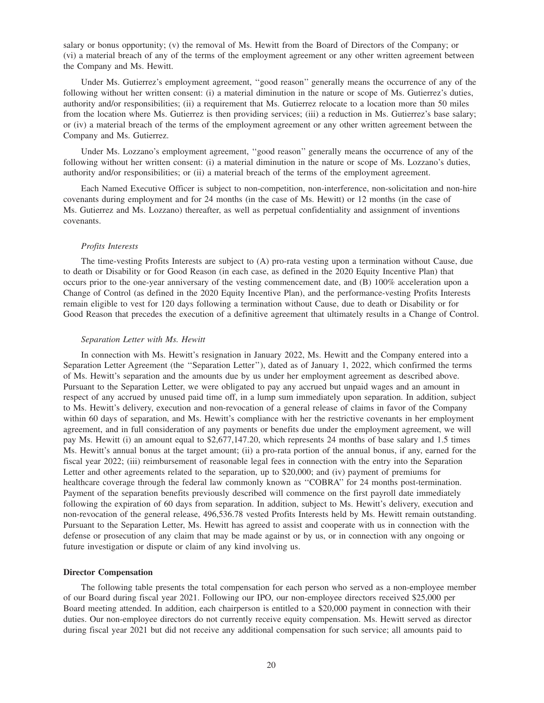salary or bonus opportunity; (v) the removal of Ms. Hewitt from the Board of Directors of the Company; or (vi) a material breach of any of the terms of the employment agreement or any other written agreement between the Company and Ms. Hewitt.

Under Ms. Gutierrez's employment agreement, ''good reason'' generally means the occurrence of any of the following without her written consent: (i) a material diminution in the nature or scope of Ms. Gutierrez's duties, authority and/or responsibilities; (ii) a requirement that Ms. Gutierrez relocate to a location more than 50 miles from the location where Ms. Gutierrez is then providing services; (iii) a reduction in Ms. Gutierrez's base salary; or (iv) a material breach of the terms of the employment agreement or any other written agreement between the Company and Ms. Gutierrez.

Under Ms. Lozzano's employment agreement, ''good reason'' generally means the occurrence of any of the following without her written consent: (i) a material diminution in the nature or scope of Ms. Lozzano's duties, authority and/or responsibilities; or (ii) a material breach of the terms of the employment agreement.

Each Named Executive Officer is subject to non-competition, non-interference, non-solicitation and non-hire covenants during employment and for 24 months (in the case of Ms. Hewitt) or 12 months (in the case of Ms. Gutierrez and Ms. Lozzano) thereafter, as well as perpetual confidentiality and assignment of inventions covenants.

#### *Profits Interests*

The time-vesting Profits Interests are subject to (A) pro-rata vesting upon a termination without Cause, due to death or Disability or for Good Reason (in each case, as defined in the 2020 Equity Incentive Plan) that occurs prior to the one-year anniversary of the vesting commencement date, and (B) 100% acceleration upon a Change of Control (as defined in the 2020 Equity Incentive Plan), and the performance-vesting Profits Interests remain eligible to vest for 120 days following a termination without Cause, due to death or Disability or for Good Reason that precedes the execution of a definitive agreement that ultimately results in a Change of Control.

#### *Separation Letter with Ms. Hewitt*

In connection with Ms. Hewitt's resignation in January 2022, Ms. Hewitt and the Company entered into a Separation Letter Agreement (the ''Separation Letter''), dated as of January 1, 2022, which confirmed the terms of Ms. Hewitt's separation and the amounts due by us under her employment agreement as described above. Pursuant to the Separation Letter, we were obligated to pay any accrued but unpaid wages and an amount in respect of any accrued by unused paid time off, in a lump sum immediately upon separation. In addition, subject to Ms. Hewitt's delivery, execution and non-revocation of a general release of claims in favor of the Company within 60 days of separation, and Ms. Hewitt's compliance with her the restrictive covenants in her employment agreement, and in full consideration of any payments or benefits due under the employment agreement, we will pay Ms. Hewitt (i) an amount equal to \$2,677,147.20, which represents 24 months of base salary and 1.5 times Ms. Hewitt's annual bonus at the target amount; (ii) a pro-rata portion of the annual bonus, if any, earned for the fiscal year 2022; (iii) reimbursement of reasonable legal fees in connection with the entry into the Separation Letter and other agreements related to the separation, up to \$20,000; and (iv) payment of premiums for healthcare coverage through the federal law commonly known as "COBRA" for 24 months post-termination. Payment of the separation benefits previously described will commence on the first payroll date immediately following the expiration of 60 days from separation. In addition, subject to Ms. Hewitt's delivery, execution and non-revocation of the general release, 496,536.78 vested Profits Interests held by Ms. Hewitt remain outstanding. Pursuant to the Separation Letter, Ms. Hewitt has agreed to assist and cooperate with us in connection with the defense or prosecution of any claim that may be made against or by us, or in connection with any ongoing or future investigation or dispute or claim of any kind involving us.

#### **Director Compensation**

The following table presents the total compensation for each person who served as a non-employee member of our Board during fiscal year 2021. Following our IPO, our non-employee directors received \$25,000 per Board meeting attended. In addition, each chairperson is entitled to a \$20,000 payment in connection with their duties. Our non-employee directors do not currently receive equity compensation. Ms. Hewitt served as director during fiscal year 2021 but did not receive any additional compensation for such service; all amounts paid to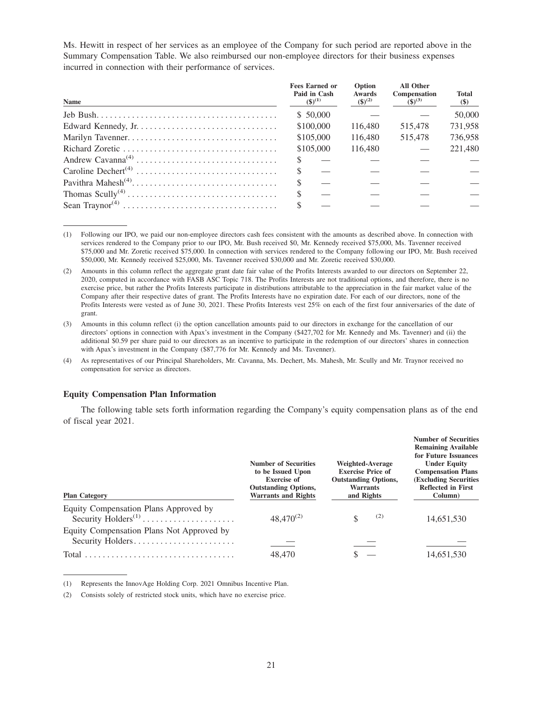Ms. Hewitt in respect of her services as an employee of the Company for such period are reported above in the Summary Compensation Table. We also reimbursed our non-employee directors for their business expenses incurred in connection with their performance of services.

| <b>Name</b>                                                                             | <b>Fees Earned or</b><br>Paid in Cash<br>$(3)^{(1)}$ | Option<br><b>Awards</b><br>$(\$)^{(2)}$ | <b>All Other</b><br>Compensation<br>$(S)^{(3)}$ | <b>Total</b><br>$(\$)$ |
|-----------------------------------------------------------------------------------------|------------------------------------------------------|-----------------------------------------|-------------------------------------------------|------------------------|
|                                                                                         | \$ 50,000                                            |                                         |                                                 | 50,000                 |
|                                                                                         | \$100,000                                            | 116,480                                 | 515,478                                         | 731.958                |
|                                                                                         | \$105,000                                            | 116,480                                 | 515,478                                         | 736,958                |
|                                                                                         | \$105,000                                            | 116,480                                 |                                                 | 221,480                |
|                                                                                         |                                                      |                                         |                                                 |                        |
|                                                                                         | \$.                                                  |                                         |                                                 |                        |
|                                                                                         |                                                      |                                         |                                                 |                        |
| Thomas $Scully^{(4)} \dots \dots \dots \dots \dots \dots \dots \dots \dots \dots \dots$ |                                                      |                                         |                                                 |                        |
|                                                                                         |                                                      |                                         |                                                 |                        |

(1) Following our IPO, we paid our non-employee directors cash fees consistent with the amounts as described above. In connection with services rendered to the Company prior to our IPO, Mr. Bush received \$0, Mr. Kennedy received \$75,000, Ms. Tavenner received \$75,000 and Mr. Zoretic received \$75,000. In connection with services rendered to the Company following our IPO, Mr. Bush received \$50,000, Mr. Kennedy received \$25,000, Ms. Tavenner received \$30,000 and Mr. Zoretic received \$30,000.

(2) Amounts in this column reflect the aggregate grant date fair value of the Profits Interests awarded to our directors on September 22, 2020, computed in accordance with FASB ASC Topic 718. The Profits Interests are not traditional options, and therefore, there is no exercise price, but rather the Profits Interests participate in distributions attributable to the appreciation in the fair market value of the Company after their respective dates of grant. The Profits Interests have no expiration date. For each of our directors, none of the Profits Interests were vested as of June 30, 2021. These Profits Interests vest 25% on each of the first four anniversaries of the date of grant.

(3) Amounts in this column reflect (i) the option cancellation amounts paid to our directors in exchange for the cancellation of our directors' options in connection with Apax's investment in the Company (\$427,702 for Mr. Kennedy and Ms. Tavenner) and (ii) the additional \$0.59 per share paid to our directors as an incentive to participate in the redemption of our directors' shares in connection with Apax's investment in the Company (\$87,776 for Mr. Kennedy and Ms. Tavenner).

(4) As representatives of our Principal Shareholders, Mr. Cavanna, Ms. Dechert, Ms. Mahesh, Mr. Scully and Mr. Traynor received no compensation for service as directors.

## **Equity Compensation Plan Information**

The following table sets forth information regarding the Company's equity compensation plans as of the end of fiscal year 2021.

| <b>Plan Category</b>                                                                                        | <b>Number of Securities</b><br>to be Issued Upon<br><b>Exercise of</b><br><b>Outstanding Options,</b><br><b>Warrants and Rights</b> | <b>Weighted-Average</b><br><b>Exercise Price of</b><br><b>Outstanding Options,</b><br><b>Warrants</b><br>and Rights | <b>Number of Securities</b><br><b>Remaining Available</b><br>for Future Issuances<br><b>Under Equity</b><br><b>Compensation Plans</b><br><b>(Excluding Securities)</b><br><b>Reflected in First</b><br>Column) |
|-------------------------------------------------------------------------------------------------------------|-------------------------------------------------------------------------------------------------------------------------------------|---------------------------------------------------------------------------------------------------------------------|----------------------------------------------------------------------------------------------------------------------------------------------------------------------------------------------------------------|
| Equity Compensation Plans Approved by<br>Security $Holders^{(1)} \dots \dots \dots \dots \dots \dots \dots$ | $48,470^{(2)}$                                                                                                                      | (2)<br>S                                                                                                            | 14,651,530                                                                                                                                                                                                     |
| Equity Compensation Plans Not Approved by<br>Security Holders                                               |                                                                                                                                     |                                                                                                                     |                                                                                                                                                                                                                |
| Total                                                                                                       | 48,470                                                                                                                              |                                                                                                                     | 14,651,530                                                                                                                                                                                                     |

<sup>(1)</sup> Represents the InnovAge Holding Corp. 2021 Omnibus Incentive Plan.

<sup>(2)</sup> Consists solely of restricted stock units, which have no exercise price.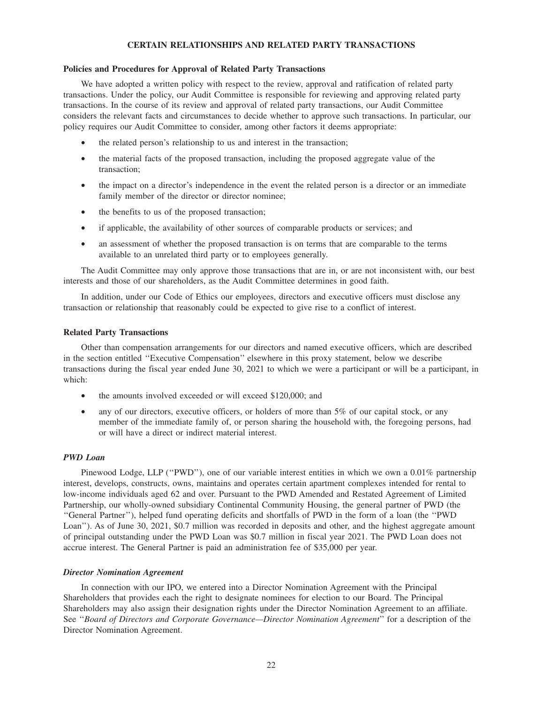## **CERTAIN RELATIONSHIPS AND RELATED PARTY TRANSACTIONS**

## **Policies and Procedures for Approval of Related Party Transactions**

We have adopted a written policy with respect to the review, approval and ratification of related party transactions. Under the policy, our Audit Committee is responsible for reviewing and approving related party transactions. In the course of its review and approval of related party transactions, our Audit Committee considers the relevant facts and circumstances to decide whether to approve such transactions. In particular, our policy requires our Audit Committee to consider, among other factors it deems appropriate:

- the related person's relationship to us and interest in the transaction;
- the material facts of the proposed transaction, including the proposed aggregate value of the transaction;
- the impact on a director's independence in the event the related person is a director or an immediate family member of the director or director nominee;
- the benefits to us of the proposed transaction;
- if applicable, the availability of other sources of comparable products or services; and
- an assessment of whether the proposed transaction is on terms that are comparable to the terms available to an unrelated third party or to employees generally.

The Audit Committee may only approve those transactions that are in, or are not inconsistent with, our best interests and those of our shareholders, as the Audit Committee determines in good faith.

In addition, under our Code of Ethics our employees, directors and executive officers must disclose any transaction or relationship that reasonably could be expected to give rise to a conflict of interest.

#### **Related Party Transactions**

Other than compensation arrangements for our directors and named executive officers, which are described in the section entitled ''Executive Compensation'' elsewhere in this proxy statement, below we describe transactions during the fiscal year ended June 30, 2021 to which we were a participant or will be a participant, in which:

- the amounts involved exceeded or will exceed \$120,000; and
- any of our directors, executive officers, or holders of more than 5% of our capital stock, or any member of the immediate family of, or person sharing the household with, the foregoing persons, had or will have a direct or indirect material interest.

#### *PWD Loan*

Pinewood Lodge, LLP ("PWD"), one of our variable interest entities in which we own a 0.01% partnership interest, develops, constructs, owns, maintains and operates certain apartment complexes intended for rental to low-income individuals aged 62 and over. Pursuant to the PWD Amended and Restated Agreement of Limited Partnership, our wholly-owned subsidiary Continental Community Housing, the general partner of PWD (the ''General Partner''), helped fund operating deficits and shortfalls of PWD in the form of a loan (the ''PWD Loan''). As of June 30, 2021, \$0.7 million was recorded in deposits and other, and the highest aggregate amount of principal outstanding under the PWD Loan was \$0.7 million in fiscal year 2021. The PWD Loan does not accrue interest. The General Partner is paid an administration fee of \$35,000 per year.

#### *Director Nomination Agreement*

In connection with our IPO, we entered into a Director Nomination Agreement with the Principal Shareholders that provides each the right to designate nominees for election to our Board. The Principal Shareholders may also assign their designation rights under the Director Nomination Agreement to an affiliate. See ''*Board of Directors and Corporate Governance—Director Nomination Agreement*'' for a description of the Director Nomination Agreement.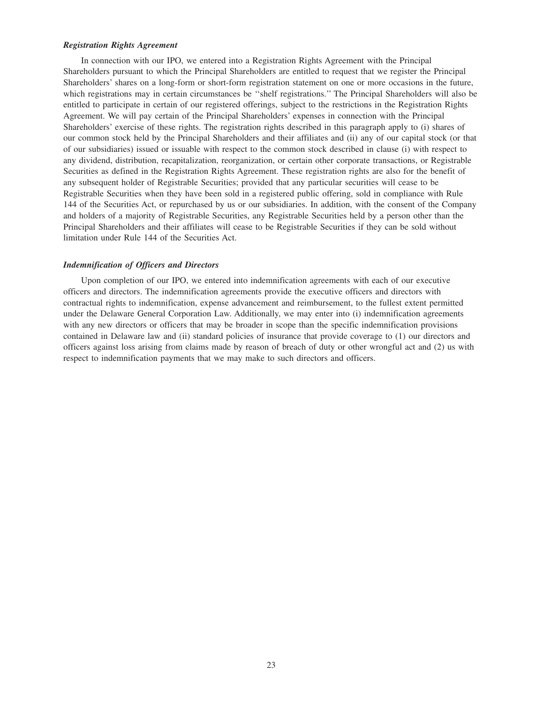## *Registration Rights Agreement*

In connection with our IPO, we entered into a Registration Rights Agreement with the Principal Shareholders pursuant to which the Principal Shareholders are entitled to request that we register the Principal Shareholders' shares on a long-form or short-form registration statement on one or more occasions in the future, which registrations may in certain circumstances be ''shelf registrations.'' The Principal Shareholders will also be entitled to participate in certain of our registered offerings, subject to the restrictions in the Registration Rights Agreement. We will pay certain of the Principal Shareholders' expenses in connection with the Principal Shareholders' exercise of these rights. The registration rights described in this paragraph apply to (i) shares of our common stock held by the Principal Shareholders and their affiliates and (ii) any of our capital stock (or that of our subsidiaries) issued or issuable with respect to the common stock described in clause (i) with respect to any dividend, distribution, recapitalization, reorganization, or certain other corporate transactions, or Registrable Securities as defined in the Registration Rights Agreement. These registration rights are also for the benefit of any subsequent holder of Registrable Securities; provided that any particular securities will cease to be Registrable Securities when they have been sold in a registered public offering, sold in compliance with Rule 144 of the Securities Act, or repurchased by us or our subsidiaries. In addition, with the consent of the Company and holders of a majority of Registrable Securities, any Registrable Securities held by a person other than the Principal Shareholders and their affiliates will cease to be Registrable Securities if they can be sold without limitation under Rule 144 of the Securities Act.

## *Indemnification of Officers and Directors*

Upon completion of our IPO, we entered into indemnification agreements with each of our executive officers and directors. The indemnification agreements provide the executive officers and directors with contractual rights to indemnification, expense advancement and reimbursement, to the fullest extent permitted under the Delaware General Corporation Law. Additionally, we may enter into (i) indemnification agreements with any new directors or officers that may be broader in scope than the specific indemnification provisions contained in Delaware law and (ii) standard policies of insurance that provide coverage to (1) our directors and officers against loss arising from claims made by reason of breach of duty or other wrongful act and (2) us with respect to indemnification payments that we may make to such directors and officers.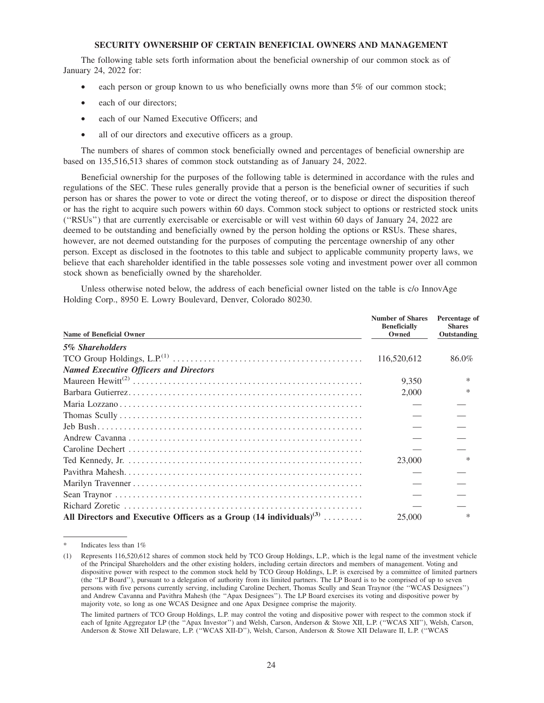## **SECURITY OWNERSHIP OF CERTAIN BENEFICIAL OWNERS AND MANAGEMENT**

The following table sets forth information about the beneficial ownership of our common stock as of January 24, 2022 for:

- each person or group known to us who beneficially owns more than 5% of our common stock;
- each of our directors;
- each of our Named Executive Officers; and
- all of our directors and executive officers as a group.

The numbers of shares of common stock beneficially owned and percentages of beneficial ownership are based on 135,516,513 shares of common stock outstanding as of January 24, 2022.

Beneficial ownership for the purposes of the following table is determined in accordance with the rules and regulations of the SEC. These rules generally provide that a person is the beneficial owner of securities if such person has or shares the power to vote or direct the voting thereof, or to dispose or direct the disposition thereof or has the right to acquire such powers within 60 days. Common stock subject to options or restricted stock units (''RSUs'') that are currently exercisable or exercisable or will vest within 60 days of January 24, 2022 are deemed to be outstanding and beneficially owned by the person holding the options or RSUs. These shares, however, are not deemed outstanding for the purposes of computing the percentage ownership of any other person. Except as disclosed in the footnotes to this table and subject to applicable community property laws, we believe that each shareholder identified in the table possesses sole voting and investment power over all common stock shown as beneficially owned by the shareholder.

Unless otherwise noted below, the address of each beneficial owner listed on the table is c/o InnovAge Holding Corp., 8950 E. Lowry Boulevard, Denver, Colorado 80230.

| <b>Name of Beneficial Owner</b>                                                  | <b>Number of Shares</b><br><b>Beneficially</b><br>Owned | Percentage of<br><b>Shares</b><br>Outstanding |
|----------------------------------------------------------------------------------|---------------------------------------------------------|-----------------------------------------------|
| 5% Shareholders                                                                  |                                                         |                                               |
|                                                                                  | 116,520,612                                             | 86.0%                                         |
| <b>Named Executive Officers and Directors</b>                                    |                                                         |                                               |
|                                                                                  | 9.350                                                   |                                               |
|                                                                                  | 2,000                                                   |                                               |
|                                                                                  |                                                         |                                               |
|                                                                                  |                                                         |                                               |
|                                                                                  |                                                         |                                               |
|                                                                                  |                                                         |                                               |
|                                                                                  |                                                         |                                               |
|                                                                                  | 23,000                                                  | $\ast$                                        |
|                                                                                  |                                                         |                                               |
|                                                                                  |                                                         |                                               |
|                                                                                  |                                                         |                                               |
|                                                                                  |                                                         |                                               |
| All Directors and Executive Officers as a Group $(14 \text{ individuals})^{(3)}$ | 25,000                                                  | $\ast$                                        |

Indicates less than 1%

<sup>(1)</sup> Represents 116,520,612 shares of common stock held by TCO Group Holdings, L.P., which is the legal name of the investment vehicle of the Principal Shareholders and the other existing holders, including certain directors and members of management. Voting and dispositive power with respect to the common stock held by TCO Group Holdings, L.P. is exercised by a committee of limited partners (the ''LP Board''), pursuant to a delegation of authority from its limited partners. The LP Board is to be comprised of up to seven persons with five persons currently serving, including Caroline Dechert, Thomas Scully and Sean Traynor (the ''WCAS Designees'') and Andrew Cavanna and Pavithra Mahesh (the ''Apax Designees''). The LP Board exercises its voting and dispositive power by majority vote, so long as one WCAS Designee and one Apax Designee comprise the majority.

The limited partners of TCO Group Holdings, L.P. may control the voting and dispositive power with respect to the common stock if each of Ignite Aggregator LP (the ''Apax Investor'') and Welsh, Carson, Anderson & Stowe XII, L.P. (''WCAS XII''), Welsh, Carson, Anderson & Stowe XII Delaware, L.P. (''WCAS XII-D''), Welsh, Carson, Anderson & Stowe XII Delaware II, L.P. (''WCAS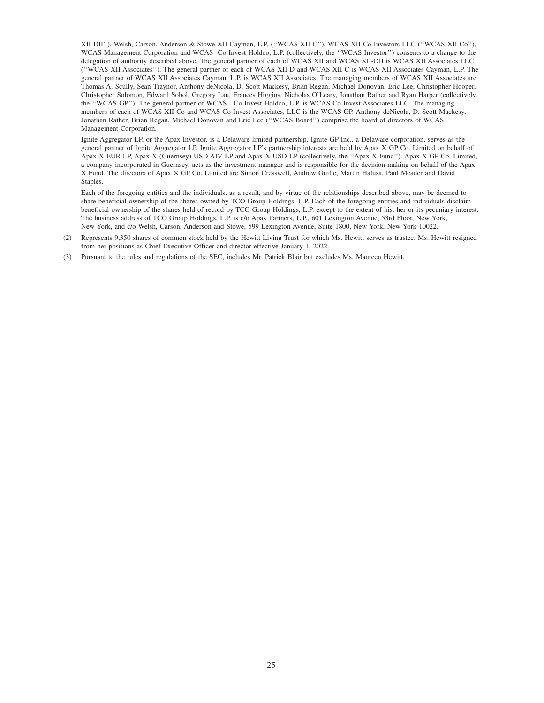XII-DII''), Welsh, Carson, Anderson & Stowe XII Cayman, L.P. (''WCAS XII-C''), WCAS XII Co-Investors LLC (''WCAS XII-Co''), WCAS Management Corporation and WCAS -Co-Invest Holdco, L.P. (collectively, the ''WCAS Investor'') consents to a change to the delegation of authority described above. The general partner of each of WCAS XII and WCAS XII-DII is WCAS XII Associates LLC (''WCAS XII Associates''). The general partner of each of WCAS XII-D and WCAS XII-C is WCAS XII Associates Cayman, L.P. The general partner of WCAS XII Associates Cayman, L.P. is WCAS XII Associates. The managing members of WCAS XII Associates are Thomas A. Scully, Sean Traynor, Anthony deNicola, D. Scott Mackesy, Brian Regan, Michael Donovan, Eric Lee, Christopher Hooper, Christopher Solomon, Edward Sobol, Gregory Lau, Frances Higgins, Nicholas O'Leary, Jonathan Rather and Ryan Harper (collectively, the ''WCAS GP''). The general partner of WCAS - Co-Invest Holdco, L.P. is WCAS Co-Invest Associates LLC. The managing members of each of WCAS XII-Co and WCAS Co-Invest Associates, LLC is the WCAS GP. Anthony deNicola, D. Scott Mackesy, Jonathan Rather, Brian Regan, Michael Donovan and Eric Lee (''WCAS Board'') comprise the board of directors of WCAS Management Corporation.

Ignite Aggregator LP, or the Apax Investor, is a Delaware limited partnership. Ignite GP Inc., a Delaware corporation, serves as the general partner of Ignite Aggregator LP. Ignite Aggregator LP's partnership interests are held by Apax X GP Co. Limited on behalf of Apax X EUR LP, Apax X (Guernsey) USD AIV LP and Apax X USD LP (collectively, the ''Apax X Fund''). Apax X GP Co. Limited, a company incorporated in Guernsey, acts as the investment manager and is responsible for the decision-making on behalf of the Apax X Fund. The directors of Apax X GP Co. Limited are Simon Cresswell, Andrew Guille, Martin Halusa, Paul Meader and David Staples.

Each of the foregoing entities and the individuals, as a result, and by virtue of the relationships described above, may be deemed to share beneficial ownership of the shares owned by TCO Group Holdings, L.P. Each of the foregoing entities and individuals disclaim beneficial ownership of the shares held of record by TCO Group Holdings, L.P. except to the extent of his, her or its pecuniary interest. The business address of TCO Group Holdings, L.P. is c/o Apax Partners, L.P., 601 Lexington Avenue, 53rd Floor, New York, New York, and c/o Welsh, Carson, Anderson and Stowe, 599 Lexington Avenue, Suite 1800, New York, New York 10022.

- (2) Represents 9,350 shares of common stock held by the Hewitt Living Trust for which Ms. Hewitt serves as trustee. Ms. Hewitt resigned from her positions as Chief Executive Officer and director effective January 1, 2022.
- (3) Pursuant to the rules and regulations of the SEC, includes Mr. Patrick Blair but excludes Ms. Maureen Hewitt.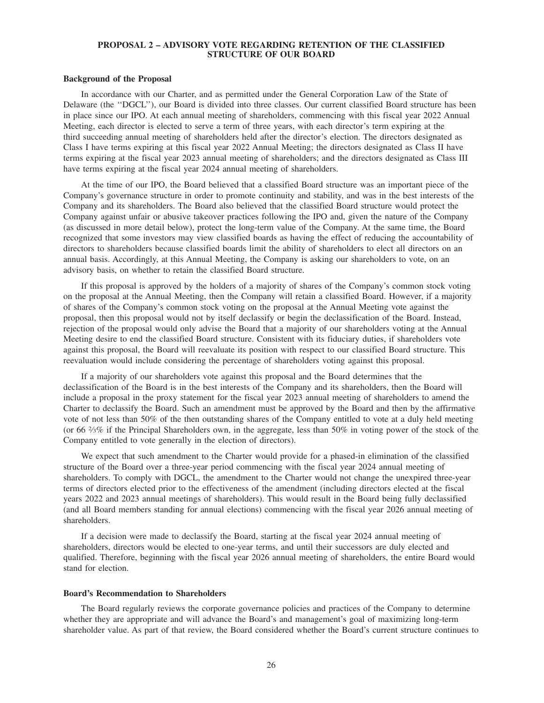## **PROPOSAL 2 – ADVISORY VOTE REGARDING RETENTION OF THE CLASSIFIED STRUCTURE OF OUR BOARD**

#### **Background of the Proposal**

In accordance with our Charter, and as permitted under the General Corporation Law of the State of Delaware (the ''DGCL''), our Board is divided into three classes. Our current classified Board structure has been in place since our IPO. At each annual meeting of shareholders, commencing with this fiscal year 2022 Annual Meeting, each director is elected to serve a term of three years, with each director's term expiring at the third succeeding annual meeting of shareholders held after the director's election. The directors designated as Class I have terms expiring at this fiscal year 2022 Annual Meeting; the directors designated as Class II have terms expiring at the fiscal year 2023 annual meeting of shareholders; and the directors designated as Class III have terms expiring at the fiscal year 2024 annual meeting of shareholders.

At the time of our IPO, the Board believed that a classified Board structure was an important piece of the Company's governance structure in order to promote continuity and stability, and was in the best interests of the Company and its shareholders. The Board also believed that the classified Board structure would protect the Company against unfair or abusive takeover practices following the IPO and, given the nature of the Company (as discussed in more detail below), protect the long-term value of the Company. At the same time, the Board recognized that some investors may view classified boards as having the effect of reducing the accountability of directors to shareholders because classified boards limit the ability of shareholders to elect all directors on an annual basis. Accordingly, at this Annual Meeting, the Company is asking our shareholders to vote, on an advisory basis, on whether to retain the classified Board structure.

If this proposal is approved by the holders of a majority of shares of the Company's common stock voting on the proposal at the Annual Meeting, then the Company will retain a classified Board. However, if a majority of shares of the Company's common stock voting on the proposal at the Annual Meeting vote against the proposal, then this proposal would not by itself declassify or begin the declassification of the Board. Instead, rejection of the proposal would only advise the Board that a majority of our shareholders voting at the Annual Meeting desire to end the classified Board structure. Consistent with its fiduciary duties, if shareholders vote against this proposal, the Board will reevaluate its position with respect to our classified Board structure. This reevaluation would include considering the percentage of shareholders voting against this proposal.

If a majority of our shareholders vote against this proposal and the Board determines that the declassification of the Board is in the best interests of the Company and its shareholders, then the Board will include a proposal in the proxy statement for the fiscal year 2023 annual meeting of shareholders to amend the Charter to declassify the Board. Such an amendment must be approved by the Board and then by the affirmative vote of not less than 50% of the then outstanding shares of the Company entitled to vote at a duly held meeting (or 66  $\frac{2}{3}\%$  if the Principal Shareholders own, in the aggregate, less than 50% in voting power of the stock of the Company entitled to vote generally in the election of directors).

We expect that such amendment to the Charter would provide for a phased-in elimination of the classified structure of the Board over a three-year period commencing with the fiscal year 2024 annual meeting of shareholders. To comply with DGCL, the amendment to the Charter would not change the unexpired three-year terms of directors elected prior to the effectiveness of the amendment (including directors elected at the fiscal years 2022 and 2023 annual meetings of shareholders). This would result in the Board being fully declassified (and all Board members standing for annual elections) commencing with the fiscal year 2026 annual meeting of shareholders.

If a decision were made to declassify the Board, starting at the fiscal year 2024 annual meeting of shareholders, directors would be elected to one-year terms, and until their successors are duly elected and qualified. Therefore, beginning with the fiscal year 2026 annual meeting of shareholders, the entire Board would stand for election.

#### **Board's Recommendation to Shareholders**

The Board regularly reviews the corporate governance policies and practices of the Company to determine whether they are appropriate and will advance the Board's and management's goal of maximizing long-term shareholder value. As part of that review, the Board considered whether the Board's current structure continues to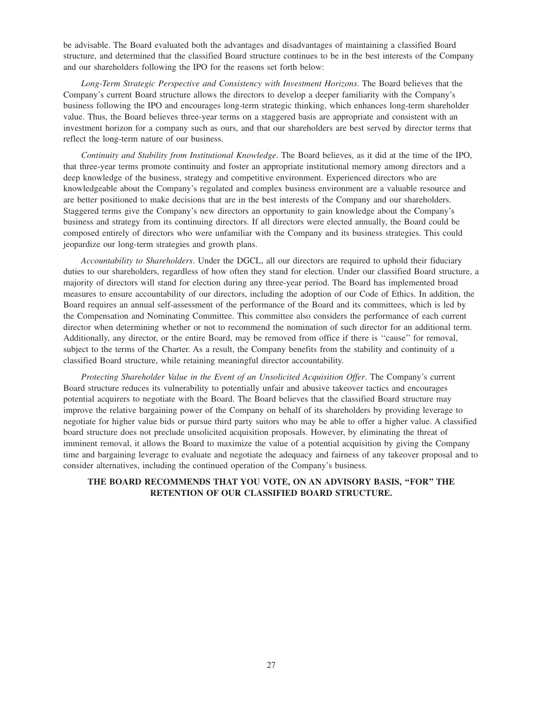be advisable. The Board evaluated both the advantages and disadvantages of maintaining a classified Board structure, and determined that the classified Board structure continues to be in the best interests of the Company and our shareholders following the IPO for the reasons set forth below:

*Long-Term Strategic Perspective and Consistency with Investment Horizons*. The Board believes that the Company's current Board structure allows the directors to develop a deeper familiarity with the Company's business following the IPO and encourages long-term strategic thinking, which enhances long-term shareholder value. Thus, the Board believes three-year terms on a staggered basis are appropriate and consistent with an investment horizon for a company such as ours, and that our shareholders are best served by director terms that reflect the long-term nature of our business.

*Continuity and Stability from Institutional Knowledge*. The Board believes, as it did at the time of the IPO, that three-year terms promote continuity and foster an appropriate institutional memory among directors and a deep knowledge of the business, strategy and competitive environment. Experienced directors who are knowledgeable about the Company's regulated and complex business environment are a valuable resource and are better positioned to make decisions that are in the best interests of the Company and our shareholders. Staggered terms give the Company's new directors an opportunity to gain knowledge about the Company's business and strategy from its continuing directors. If all directors were elected annually, the Board could be composed entirely of directors who were unfamiliar with the Company and its business strategies. This could jeopardize our long-term strategies and growth plans.

*Accountability to Shareholders*. Under the DGCL, all our directors are required to uphold their fiduciary duties to our shareholders, regardless of how often they stand for election. Under our classified Board structure, a majority of directors will stand for election during any three-year period. The Board has implemented broad measures to ensure accountability of our directors, including the adoption of our Code of Ethics. In addition, the Board requires an annual self-assessment of the performance of the Board and its committees, which is led by the Compensation and Nominating Committee. This committee also considers the performance of each current director when determining whether or not to recommend the nomination of such director for an additional term. Additionally, any director, or the entire Board, may be removed from office if there is ''cause'' for removal, subject to the terms of the Charter. As a result, the Company benefits from the stability and continuity of a classified Board structure, while retaining meaningful director accountability.

*Protecting Shareholder Value in the Event of an Unsolicited Acquisition Offer*. The Company's current Board structure reduces its vulnerability to potentially unfair and abusive takeover tactics and encourages potential acquirers to negotiate with the Board. The Board believes that the classified Board structure may improve the relative bargaining power of the Company on behalf of its shareholders by providing leverage to negotiate for higher value bids or pursue third party suitors who may be able to offer a higher value. A classified board structure does not preclude unsolicited acquisition proposals. However, by eliminating the threat of imminent removal, it allows the Board to maximize the value of a potential acquisition by giving the Company time and bargaining leverage to evaluate and negotiate the adequacy and fairness of any takeover proposal and to consider alternatives, including the continued operation of the Company's business.

## **THE BOARD RECOMMENDS THAT YOU VOTE, ON AN ADVISORY BASIS, ''FOR'' THE RETENTION OF OUR CLASSIFIED BOARD STRUCTURE.**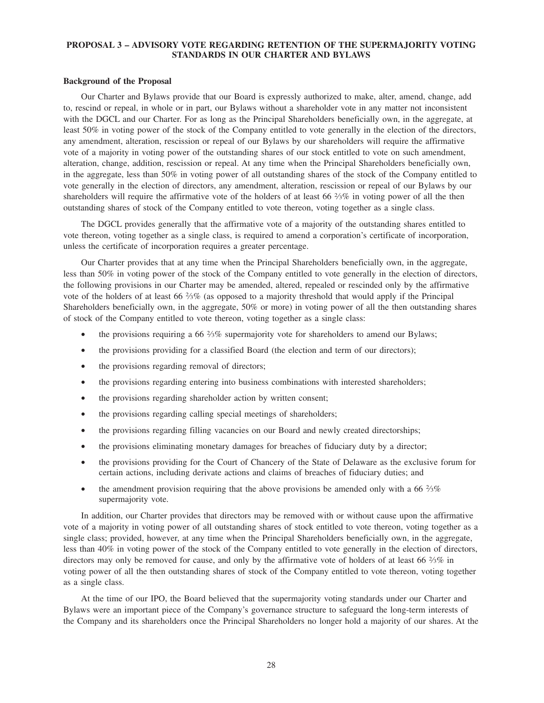## **PROPOSAL 3 – ADVISORY VOTE REGARDING RETENTION OF THE SUPERMAJORITY VOTING STANDARDS IN OUR CHARTER AND BYLAWS**

#### **Background of the Proposal**

Our Charter and Bylaws provide that our Board is expressly authorized to make, alter, amend, change, add to, rescind or repeal, in whole or in part, our Bylaws without a shareholder vote in any matter not inconsistent with the DGCL and our Charter. For as long as the Principal Shareholders beneficially own, in the aggregate, at least 50% in voting power of the stock of the Company entitled to vote generally in the election of the directors, any amendment, alteration, rescission or repeal of our Bylaws by our shareholders will require the affirmative vote of a majority in voting power of the outstanding shares of our stock entitled to vote on such amendment, alteration, change, addition, rescission or repeal. At any time when the Principal Shareholders beneficially own, in the aggregate, less than 50% in voting power of all outstanding shares of the stock of the Company entitled to vote generally in the election of directors, any amendment, alteration, rescission or repeal of our Bylaws by our shareholders will require the affirmative vote of the holders of at least 66  $\frac{25}{\%}$  in voting power of all the then outstanding shares of stock of the Company entitled to vote thereon, voting together as a single class.

The DGCL provides generally that the affirmative vote of a majority of the outstanding shares entitled to vote thereon, voting together as a single class, is required to amend a corporation's certificate of incorporation, unless the certificate of incorporation requires a greater percentage.

Our Charter provides that at any time when the Principal Shareholders beneficially own, in the aggregate, less than 50% in voting power of the stock of the Company entitled to vote generally in the election of directors, the following provisions in our Charter may be amended, altered, repealed or rescinded only by the affirmative vote of the holders of at least 66 <sup>2</sup> ⁄3% (as opposed to a majority threshold that would apply if the Principal Shareholders beneficially own, in the aggregate, 50% or more) in voting power of all the then outstanding shares of stock of the Company entitled to vote thereon, voting together as a single class:

- the provisions requiring a 66  $\frac{2}{3}\%$  supermajority vote for shareholders to amend our Bylaws;
- the provisions providing for a classified Board (the election and term of our directors);
- the provisions regarding removal of directors;
- the provisions regarding entering into business combinations with interested shareholders;
- the provisions regarding shareholder action by written consent;
- the provisions regarding calling special meetings of shareholders;
- the provisions regarding filling vacancies on our Board and newly created directorships;
- the provisions eliminating monetary damages for breaches of fiduciary duty by a director;
- the provisions providing for the Court of Chancery of the State of Delaware as the exclusive forum for certain actions, including derivate actions and claims of breaches of fiduciary duties; and
- the amendment provision requiring that the above provisions be amended only with a 66  $\frac{2}{3}\%$ supermajority vote.

In addition, our Charter provides that directors may be removed with or without cause upon the affirmative vote of a majority in voting power of all outstanding shares of stock entitled to vote thereon, voting together as a single class; provided, however, at any time when the Principal Shareholders beneficially own, in the aggregate, less than 40% in voting power of the stock of the Company entitled to vote generally in the election of directors, directors may only be removed for cause, and only by the affirmative vote of holders of at least 66 <sup>2</sup> ⁄3% in voting power of all the then outstanding shares of stock of the Company entitled to vote thereon, voting together as a single class.

At the time of our IPO, the Board believed that the supermajority voting standards under our Charter and Bylaws were an important piece of the Company's governance structure to safeguard the long-term interests of the Company and its shareholders once the Principal Shareholders no longer hold a majority of our shares. At the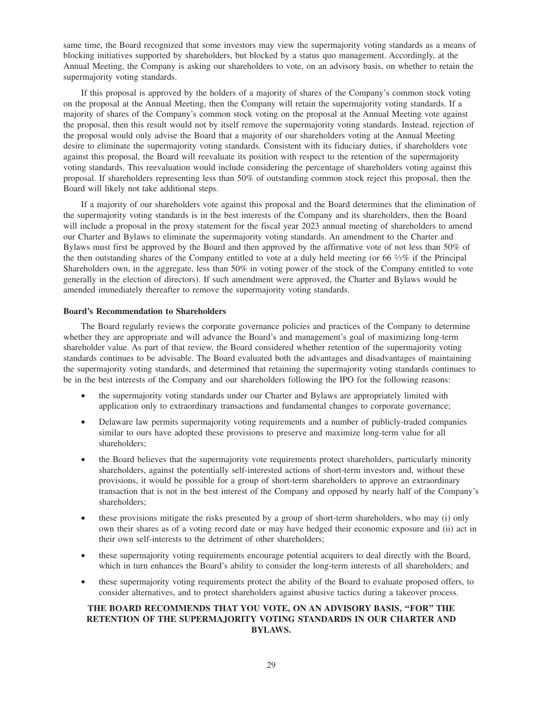same time, the Board recognized that some investors may view the supermajority voting standards as a means of blocking initiatives supported by shareholders, but blocked by a status quo management. Accordingly, at the Annual Meeting, the Company is asking our shareholders to vote, on an advisory basis, on whether to retain the supermajority voting standards.

If this proposal is approved by the holders of a majority of shares of the Company's common stock voting on the proposal at the Annual Meeting, then the Company will retain the supermajority voting standards. If a majority of shares of the Company's common stock voting on the proposal at the Annual Meeting vote against the proposal, then this result would not by itself remove the supermajority voting standards. Instead, rejection of the proposal would only advise the Board that a majority of our shareholders voting at the Annual Meeting desire to eliminate the supermajority voting standards. Consistent with its fiduciary duties, if shareholders vote against this proposal, the Board will reevaluate its position with respect to the retention of the supermajority voting standards. This reevaluation would include considering the percentage of shareholders voting against this proposal. If shareholders representing less than 50% of outstanding common stock reject this proposal, then the Board will likely not take additional steps.

If a majority of our shareholders vote against this proposal and the Board determines that the elimination of the supermajority voting standards is in the best interests of the Company and its shareholders, then the Board will include a proposal in the proxy statement for the fiscal year 2023 annual meeting of shareholders to amend our Charter and Bylaws to eliminate the supermajority voting standards. An amendment to the Charter and Bylaws must first be approved by the Board and then approved by the affirmative vote of not less than 50% of the then outstanding shares of the Company entitled to vote at a duly held meeting (or 66  $\frac{2}{3}\%$  if the Principal Shareholders own, in the aggregate, less than 50% in voting power of the stock of the Company entitled to vote generally in the election of directors). If such amendment were approved, the Charter and Bylaws would be amended immediately thereafter to remove the supermajority voting standards.

#### **Board's Recommendation to Shareholders**

The Board regularly reviews the corporate governance policies and practices of the Company to determine whether they are appropriate and will advance the Board's and management's goal of maximizing long-term shareholder value. As part of that review, the Board considered whether retention of the supermajority voting standards continues to be advisable. The Board evaluated both the advantages and disadvantages of maintaining the supermajority voting standards, and determined that retaining the supermajority voting standards continues to be in the best interests of the Company and our shareholders following the IPO for the following reasons:

- the supermajority voting standards under our Charter and Bylaws are appropriately limited with application only to extraordinary transactions and fundamental changes to corporate governance;
- Delaware law permits supermajority voting requirements and a number of publicly-traded companies similar to ours have adopted these provisions to preserve and maximize long-term value for all shareholders;
- the Board believes that the supermajority vote requirements protect shareholders, particularly minority shareholders, against the potentially self-interested actions of short-term investors and, without these provisions, it would be possible for a group of short-term shareholders to approve an extraordinary transaction that is not in the best interest of the Company and opposed by nearly half of the Company's shareholders;
- these provisions mitigate the risks presented by a group of short-term shareholders, who may (i) only own their shares as of a voting record date or may have hedged their economic exposure and (ii) act in their own self-interests to the detriment of other shareholders;
- these supermajority voting requirements encourage potential acquirers to deal directly with the Board, which in turn enhances the Board's ability to consider the long-term interests of all shareholders; and
- these supermajority voting requirements protect the ability of the Board to evaluate proposed offers, to consider alternatives, and to protect shareholders against abusive tactics during a takeover process.

## **THE BOARD RECOMMENDS THAT YOU VOTE, ON AN ADVISORY BASIS, ''FOR'' THE RETENTION OF THE SUPERMAJORITY VOTING STANDARDS IN OUR CHARTER AND BYLAWS.**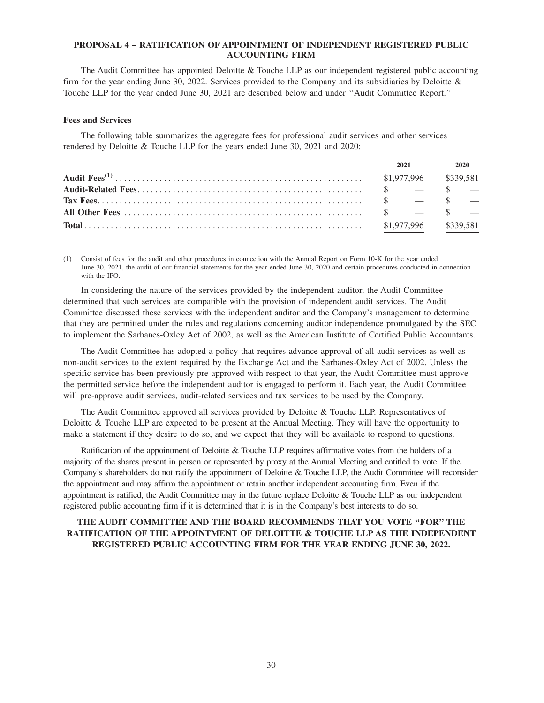## **PROPOSAL 4 – RATIFICATION OF APPOINTMENT OF INDEPENDENT REGISTERED PUBLIC ACCOUNTING FIRM**

The Audit Committee has appointed Deloitte & Touche LLP as our independent registered public accounting firm for the year ending June 30, 2022. Services provided to the Company and its subsidiaries by Deloitte & Touche LLP for the year ended June 30, 2021 are described below and under ''Audit Committee Report.''

#### **Fees and Services**

The following table summarizes the aggregate fees for professional audit services and other services rendered by Deloitte & Touche LLP for the years ended June 30, 2021 and 2020:

|             | 2021                  | <b>2020</b> |           |
|-------------|-----------------------|-------------|-----------|
|             | \$1,977,996 \$339,581 |             |           |
|             |                       |             |           |
|             |                       |             |           |
|             |                       |             |           |
| \$1,977,996 |                       |             | \$339,581 |

(1) Consist of fees for the audit and other procedures in connection with the Annual Report on Form 10-K for the year ended June 30, 2021, the audit of our financial statements for the year ended June 30, 2020 and certain procedures conducted in connection with the IPO.

In considering the nature of the services provided by the independent auditor, the Audit Committee determined that such services are compatible with the provision of independent audit services. The Audit Committee discussed these services with the independent auditor and the Company's management to determine that they are permitted under the rules and regulations concerning auditor independence promulgated by the SEC to implement the Sarbanes-Oxley Act of 2002, as well as the American Institute of Certified Public Accountants.

The Audit Committee has adopted a policy that requires advance approval of all audit services as well as non-audit services to the extent required by the Exchange Act and the Sarbanes-Oxley Act of 2002. Unless the specific service has been previously pre-approved with respect to that year, the Audit Committee must approve the permitted service before the independent auditor is engaged to perform it. Each year, the Audit Committee will pre-approve audit services, audit-related services and tax services to be used by the Company.

The Audit Committee approved all services provided by Deloitte & Touche LLP. Representatives of Deloitte & Touche LLP are expected to be present at the Annual Meeting. They will have the opportunity to make a statement if they desire to do so, and we expect that they will be available to respond to questions.

Ratification of the appointment of Deloitte & Touche LLP requires affirmative votes from the holders of a majority of the shares present in person or represented by proxy at the Annual Meeting and entitled to vote. If the Company's shareholders do not ratify the appointment of Deloitte & Touche LLP, the Audit Committee will reconsider the appointment and may affirm the appointment or retain another independent accounting firm. Even if the appointment is ratified, the Audit Committee may in the future replace Deloitte & Touche LLP as our independent registered public accounting firm if it is determined that it is in the Company's best interests to do so.

## **THE AUDIT COMMITTEE AND THE BOARD RECOMMENDS THAT YOU VOTE ''FOR'' THE RATIFICATION OF THE APPOINTMENT OF DELOITTE & TOUCHE LLP AS THE INDEPENDENT REGISTERED PUBLIC ACCOUNTING FIRM FOR THE YEAR ENDING JUNE 30, 2022.**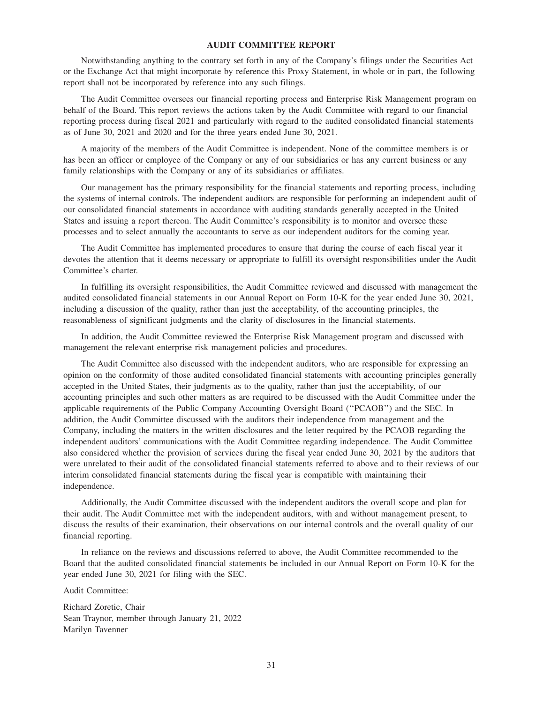## **AUDIT COMMITTEE REPORT**

Notwithstanding anything to the contrary set forth in any of the Company's filings under the Securities Act or the Exchange Act that might incorporate by reference this Proxy Statement, in whole or in part, the following report shall not be incorporated by reference into any such filings.

The Audit Committee oversees our financial reporting process and Enterprise Risk Management program on behalf of the Board. This report reviews the actions taken by the Audit Committee with regard to our financial reporting process during fiscal 2021 and particularly with regard to the audited consolidated financial statements as of June 30, 2021 and 2020 and for the three years ended June 30, 2021.

A majority of the members of the Audit Committee is independent. None of the committee members is or has been an officer or employee of the Company or any of our subsidiaries or has any current business or any family relationships with the Company or any of its subsidiaries or affiliates.

Our management has the primary responsibility for the financial statements and reporting process, including the systems of internal controls. The independent auditors are responsible for performing an independent audit of our consolidated financial statements in accordance with auditing standards generally accepted in the United States and issuing a report thereon. The Audit Committee's responsibility is to monitor and oversee these processes and to select annually the accountants to serve as our independent auditors for the coming year.

The Audit Committee has implemented procedures to ensure that during the course of each fiscal year it devotes the attention that it deems necessary or appropriate to fulfill its oversight responsibilities under the Audit Committee's charter.

In fulfilling its oversight responsibilities, the Audit Committee reviewed and discussed with management the audited consolidated financial statements in our Annual Report on Form 10-K for the year ended June 30, 2021, including a discussion of the quality, rather than just the acceptability, of the accounting principles, the reasonableness of significant judgments and the clarity of disclosures in the financial statements.

In addition, the Audit Committee reviewed the Enterprise Risk Management program and discussed with management the relevant enterprise risk management policies and procedures.

The Audit Committee also discussed with the independent auditors, who are responsible for expressing an opinion on the conformity of those audited consolidated financial statements with accounting principles generally accepted in the United States, their judgments as to the quality, rather than just the acceptability, of our accounting principles and such other matters as are required to be discussed with the Audit Committee under the applicable requirements of the Public Company Accounting Oversight Board (''PCAOB'') and the SEC. In addition, the Audit Committee discussed with the auditors their independence from management and the Company, including the matters in the written disclosures and the letter required by the PCAOB regarding the independent auditors' communications with the Audit Committee regarding independence. The Audit Committee also considered whether the provision of services during the fiscal year ended June 30, 2021 by the auditors that were unrelated to their audit of the consolidated financial statements referred to above and to their reviews of our interim consolidated financial statements during the fiscal year is compatible with maintaining their independence.

Additionally, the Audit Committee discussed with the independent auditors the overall scope and plan for their audit. The Audit Committee met with the independent auditors, with and without management present, to discuss the results of their examination, their observations on our internal controls and the overall quality of our financial reporting.

In reliance on the reviews and discussions referred to above, the Audit Committee recommended to the Board that the audited consolidated financial statements be included in our Annual Report on Form 10-K for the year ended June 30, 2021 for filing with the SEC.

Audit Committee:

Richard Zoretic, Chair Sean Traynor, member through January 21, 2022 Marilyn Tavenner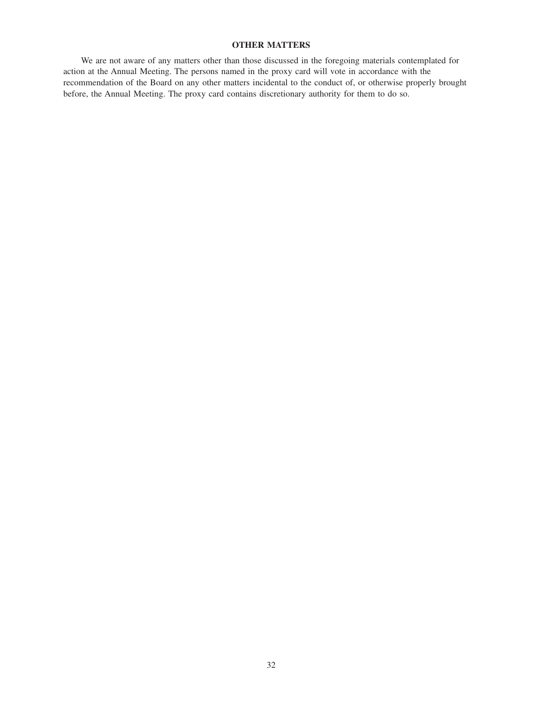## **OTHER MATTERS**

We are not aware of any matters other than those discussed in the foregoing materials contemplated for action at the Annual Meeting. The persons named in the proxy card will vote in accordance with the recommendation of the Board on any other matters incidental to the conduct of, or otherwise properly brought before, the Annual Meeting. The proxy card contains discretionary authority for them to do so.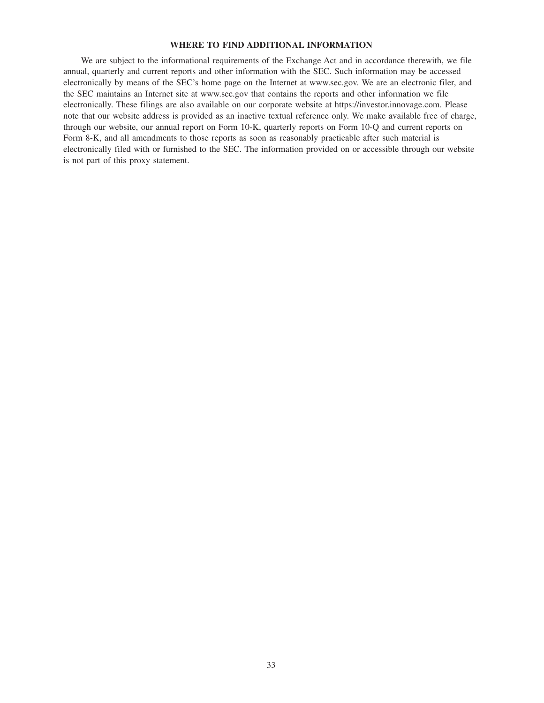## **WHERE TO FIND ADDITIONAL INFORMATION**

We are subject to the informational requirements of the Exchange Act and in accordance therewith, we file annual, quarterly and current reports and other information with the SEC. Such information may be accessed electronically by means of the SEC's home page on the Internet at www.sec.gov. We are an electronic filer, and the SEC maintains an Internet site at www.sec.gov that contains the reports and other information we file electronically. These filings are also available on our corporate website at https://investor.innovage.com. Please note that our website address is provided as an inactive textual reference only. We make available free of charge, through our website, our annual report on Form 10-K, quarterly reports on Form 10-Q and current reports on Form 8-K, and all amendments to those reports as soon as reasonably practicable after such material is electronically filed with or furnished to the SEC. The information provided on or accessible through our website is not part of this proxy statement.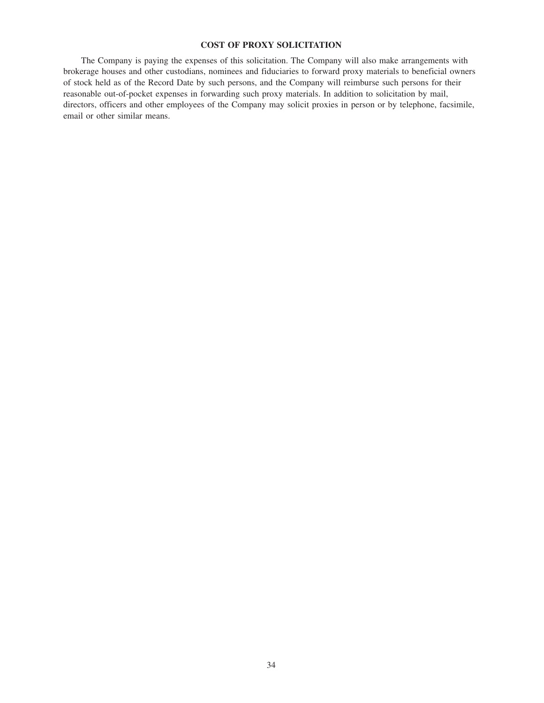## **COST OF PROXY SOLICITATION**

The Company is paying the expenses of this solicitation. The Company will also make arrangements with brokerage houses and other custodians, nominees and fiduciaries to forward proxy materials to beneficial owners of stock held as of the Record Date by such persons, and the Company will reimburse such persons for their reasonable out-of-pocket expenses in forwarding such proxy materials. In addition to solicitation by mail, directors, officers and other employees of the Company may solicit proxies in person or by telephone, facsimile, email or other similar means.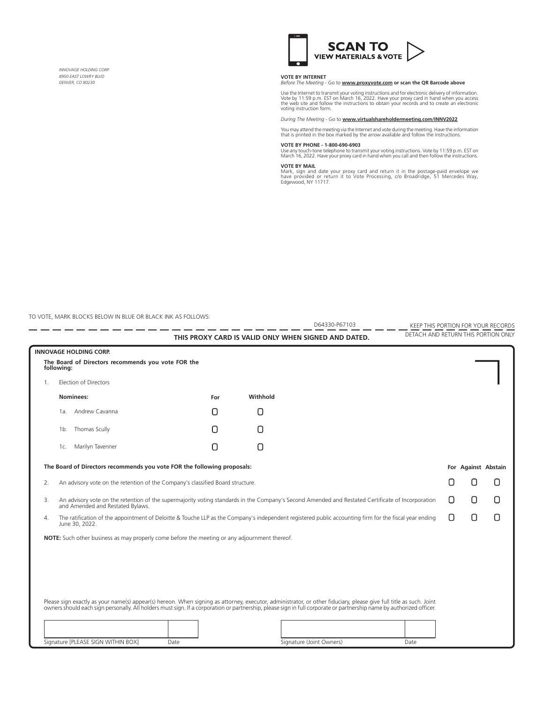*INNOVAGE HOLDING CORP. 8950 EAST LOWRY BLVD DENVER, CO 80230*



**VOTE BY INTERNET**  *Before The Meeting* - Go to **www.proxyvote.com or scan the QR Barcode above**

Use the Internet to transmit your voting instructions and for electronic delivery of information.<br>Vote by 11:59 p.m. EST on March 16, 2022. Have your proxy card in hand when you access<br>the web site and follow the instructi voting instruction form.

*During The Meeting* - Go to **www.virtualshareholdermeeting.com/INNV2022**

You may attend the meeting via the Internet and vote during the meeting. Have the information that is printed in the box marked by the arrow available and follow the instructions.

**VOTE BY PHONE - 1-800-690-6903**<br>Use any touch-tone telephone to transmit your voting instructions. Vote by 11:59 p.m. EST on<br>March 16, 2022. Have your proxy card in hand when you call and then follow the instructions.

**VOTE BY MAIL**<br>Mark, sign and date your proxy card and return it in the postage-paid envelope we<br>have provided or return it to Vote Processing, c/o Broadridge, 51 Mercedes Way,<br>Edgewood, NY 11717.

TO VOTE, MARK BLOCKS BELOW IN BLUE OR BLACK INK AS FOLLOWS:

|                                                                         |                                                                                                                                                                                       |      |  | D64330-P67103                                                                                                                                                                                                                                                                                                                              | KEEP THIS PORTION FOR YOUR RECORDS  |   |                     |   |
|-------------------------------------------------------------------------|---------------------------------------------------------------------------------------------------------------------------------------------------------------------------------------|------|--|--------------------------------------------------------------------------------------------------------------------------------------------------------------------------------------------------------------------------------------------------------------------------------------------------------------------------------------------|-------------------------------------|---|---------------------|---|
|                                                                         |                                                                                                                                                                                       |      |  | THIS PROXY CARD IS VALID ONLY WHEN SIGNED AND DATED.                                                                                                                                                                                                                                                                                       | DETACH AND RETURN THIS PORTION ONLY |   |                     |   |
|                                                                         | <b>INNOVAGE HOLDING CORP.</b>                                                                                                                                                         |      |  |                                                                                                                                                                                                                                                                                                                                            |                                     |   |                     |   |
|                                                                         | The Board of Directors recommends you vote FOR the<br>following:                                                                                                                      |      |  |                                                                                                                                                                                                                                                                                                                                            |                                     |   |                     |   |
| $1_{\cdot}$                                                             | <b>Election of Directors</b>                                                                                                                                                          |      |  |                                                                                                                                                                                                                                                                                                                                            |                                     |   |                     |   |
|                                                                         | Nominees:                                                                                                                                                                             | For  |  | Withhold                                                                                                                                                                                                                                                                                                                                   |                                     |   |                     |   |
|                                                                         | Andrew Cavanna<br>1a.                                                                                                                                                                 | Π    |  | n                                                                                                                                                                                                                                                                                                                                          |                                     |   |                     |   |
|                                                                         | Thomas Scully<br>1b.                                                                                                                                                                  | П    |  | Π                                                                                                                                                                                                                                                                                                                                          |                                     |   |                     |   |
|                                                                         | Marilyn Tavenner<br>1c.                                                                                                                                                               | Π    |  | ∩                                                                                                                                                                                                                                                                                                                                          |                                     |   |                     |   |
| The Board of Directors recommends you vote FOR the following proposals: |                                                                                                                                                                                       |      |  |                                                                                                                                                                                                                                                                                                                                            |                                     |   | For Against Abstain |   |
| 2.                                                                      | An advisory vote on the retention of the Company's classified Board structure.                                                                                                        |      |  |                                                                                                                                                                                                                                                                                                                                            |                                     | Ħ | Π                   | П |
| 3.                                                                      | An advisory vote on the retention of the supermajority voting standards in the Company's Second Amended and Restated Certificate of Incorporation<br>and Amended and Restated Bylaws. |      |  |                                                                                                                                                                                                                                                                                                                                            |                                     | n | n                   | Π |
| 4.                                                                      | June 30, 2022.                                                                                                                                                                        |      |  | The ratification of the appointment of Deloitte & Touche LLP as the Company's independent registered public accounting firm for the fiscal year ending                                                                                                                                                                                     |                                     | n | 0                   | Π |
|                                                                         | NOTE: Such other business as may properly come before the meeting or any adjournment thereof.                                                                                         |      |  |                                                                                                                                                                                                                                                                                                                                            |                                     |   |                     |   |
|                                                                         |                                                                                                                                                                                       |      |  |                                                                                                                                                                                                                                                                                                                                            |                                     |   |                     |   |
|                                                                         |                                                                                                                                                                                       |      |  |                                                                                                                                                                                                                                                                                                                                            |                                     |   |                     |   |
|                                                                         |                                                                                                                                                                                       |      |  |                                                                                                                                                                                                                                                                                                                                            |                                     |   |                     |   |
|                                                                         |                                                                                                                                                                                       |      |  |                                                                                                                                                                                                                                                                                                                                            |                                     |   |                     |   |
|                                                                         |                                                                                                                                                                                       |      |  | Please sign exactly as your name(s) appear(s) hereon. When signing as attorney, executor, administrator, or other fiduciary, please give full title as such. Joint<br>owners should each sign personally. All holders must sign. If a corporation or partnership, please sign in full corporate or partnership name by authorized officer. |                                     |   |                     |   |
|                                                                         |                                                                                                                                                                                       |      |  |                                                                                                                                                                                                                                                                                                                                            |                                     |   |                     |   |
|                                                                         | Signature [PLEASE SIGN WITHIN BOX]                                                                                                                                                    | Date |  | Signature (Joint Owners)                                                                                                                                                                                                                                                                                                                   | Date                                |   |                     |   |